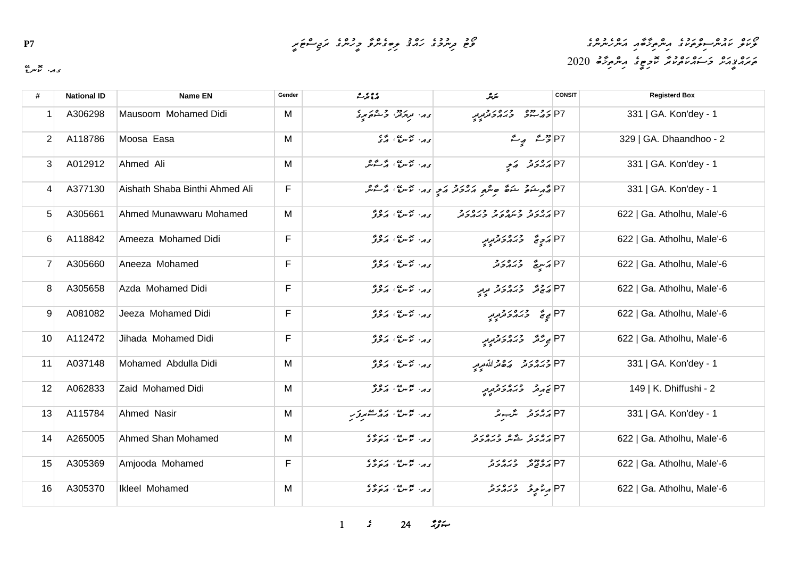*sCw7q7s5w7m< o<n9nOoAw7o< sCq;mAwBoEw7q<m; wBm;vB* م من المرة المرة المرة المرجع المرجع في المركبة 2020<br>مجم*د المريض المربوط المربع المرجع في المراجع المركبة* 

| #              | <b>National ID</b> | Name EN                        | Gender      | بروبره                 | سرپر                                                                       | <b>CONSIT</b> | <b>Registerd Box</b>       |
|----------------|--------------------|--------------------------------|-------------|------------------------|----------------------------------------------------------------------------|---------------|----------------------------|
| 1              | A306298            | Mausoom Mohamed Didi           | M           | أورس مرمومي ومشهومرو   | P7 كەھەسىمى بەر مەدىرىدىر                                                  |               | 331   GA. Kon'dey - 1      |
| $\overline{2}$ | A118786            | Moosa Easa                     | M           | $\overrightarrow{S}$   | P7 ۾ هيڪ پيڪ                                                               |               | 329   GA. Dhaandhoo - 2    |
| 3              | A012912            | Ahmed Ali                      | M           | ىد، ئېتىن، ئەشقىر      | P7 <i>גُرُدُوَ تَهُ وَ</i>                                                 |               | 331   GA. Kon'dey - 1      |
| 4              | A377130            | Aishath Shaba Binthi Ahmed Ali | F           |                        | P7 مُجَمِّسْتُمْ شَمَّةً صِنْعَ مَكْكُرْ مَنْ مِنْ مِنْ مَمْسَنَّ مُسَّنَّ |               | 331   GA. Kon'dey - 1      |
| 5              | A305661            | Ahmed Munawwaru Mohamed        | M           | ا دەر، ئەسرى، ئەخرى    | P7 ג'גב" ב מסגב בגסגב<br>P7 ג'גב"ג ב ייט <i>גפיג ב</i> ג'ובע               |               | 622   Ga. Atholhu, Male'-6 |
| $\,6$          | A118842            | Ameeza Mohamed Didi            | $\mathsf F$ | ى ئەستى، ئەھۋ          | P7 كەچ قە ئەم ئەھرىرىر                                                     |               | 622   Ga. Atholhu, Male'-6 |
| $\overline{7}$ | A305660            | Aneeza Mohamed                 | F           | ى مەستەرەپ             | P7 كەسمىچ ئەممەمەتر                                                        |               | 622   Ga. Atholhu, Male'-6 |
| 8              | A305658            | Azda Mohamed Didi              | F           | ى دىكى ئەرەپچە ئەرەپچە | P7 كەنجەنگە بەر ئەدەر بويىر                                                |               | 622   Ga. Atholhu, Male'-6 |
| 9              | A081082            | Jeeza Mohamed Didi             | F           | ى دىستى، ئەھۋ          | P7 <i>في تح تحكم و ترويد</i>                                               |               | 622   Ga. Atholhu, Male'-6 |
| 10             | A112472            | Jihada Mohamed Didi            | F           | ى ئەستى، ئەھۋ          | P7 م <i>ع تُمَّرُ حُمَدُودُودِيرِ</i>                                      |               | 622   Ga. Atholhu, Male'-6 |
| 11             | A037148            | Mohamed Abdulla Didi           | M           | ى دىستى، ئەجۇ          | P7  <i>وبروبوفتر مك</i> ھ تراللّه تربير                                    |               | 331   GA. Kon'dey - 1      |
| 12             | A062833            | Zaid Mohamed Didi              | M           | ى دىكى ئەرەپچ          | P7 يَهومُ وَيَرْدُومُومِرِيرِ                                              |               | 149   K. Dhiffushi - 2     |
| 13             | A115784            | Ahmed Nasir                    | M           | ى ئەستى» بەھ سىمرۇپ    | P7 <i>مەدە</i> ر شەمەر                                                     |               | 331   GA. Kon'dey - 1      |
| 14             | A265005            | <b>Ahmed Shan Mohamed</b>      | M           | ى دىستان كەرەپ         | P7  م.2 د ع شهر المركز و بر د د د                                          |               | 622   Ga. Atholhu, Male'-6 |
| 15             | A305369            | Amjooda Mohamed                | F           | $5391.$ $47.7$         | P7 كەفتەت قەرەر ق                                                          |               | 622   Ga. Atholhu, Male'-6 |
| 16             | A305370            | <b>Ikleel Mohamed</b>          | M           | $5391.$ $107.1$        | P7  يرتمويو وبرورو                                                         |               | 622   Ga. Atholhu, Male'-6 |

*tF7u; .<C*

*1 s* 24  $23$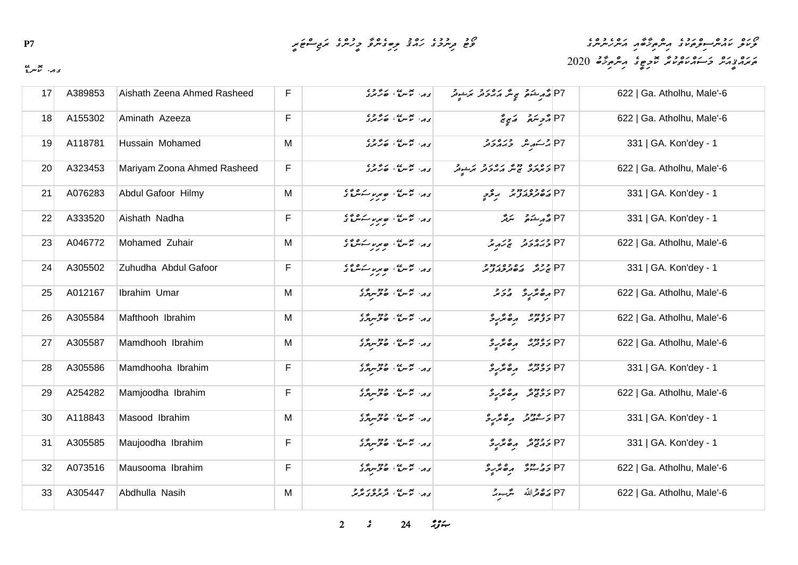*sCw7q7s5w7m< o<n9nOoAw7o< sCq;mAwBoEw7q<m; wBm;vB* م من المرة المرة المرة المرجع المرجع في المركبة 2020<br>مجم*د المريض المربوط المربع المرجع في المراجع المركبة* 

| 17              | A389853 | Aishath Zeena Ahmed Rasheed | F           | $\begin{bmatrix} 1 & 0 & 0 & 0 & 0 \\ 0 & 0 & 0 & 0 & 0 \\ 0 & 0 & 0 & 0 & 0 \\ 0 & 0 & 0 & 0 & 0 \\ 0 & 0 & 0 & 0 & 0 \\ 0 & 0 & 0 & 0 & 0 \\ 0 & 0 & 0 & 0 & 0 \\ 0 & 0 & 0 & 0 & 0 \\ 0 & 0 & 0 & 0 & 0 \\ 0 & 0 & 0 & 0 & 0 \\ 0 & 0 & 0 & 0 & 0 \\ 0 & 0 & 0 & 0 & 0 \\ 0 & 0 & 0 & 0 & 0 \\ 0 & 0 & 0 & 0 & 0 \\ 0 & $ | P7 <i>مگه شوه</i> به شرکتر مرسور          | 622   Ga. Atholhu, Male'-6 |
|-----------------|---------|-----------------------------|-------------|------------------------------------------------------------------------------------------------------------------------------------------------------------------------------------------------------------------------------------------------------------------------------------------------------------------------------|-------------------------------------------|----------------------------|
| 18              | A155302 | Aminath Azeeza              | F           | $\begin{array}{cc} 0.750 & 0.025 & 0.000 & 0.000 & 0.000 & 0.000 & 0.000 & 0.000 & 0.000 & 0.000 & 0.000 & 0.000 & 0.000 & 0.000 & 0.000 & 0.000 & 0.000 & 0.000 & 0.000 & 0.000 & 0.000 & 0.000 & 0.000 & 0.000 & 0.000 & 0.000 & 0.000 & 0.000 & 0.000 & 0.000 & 0.$                                                       | P7 مُجِسَع <i>ة مَيِّ</i> ءَ              | 622   Ga. Atholhu, Male'-6 |
| 19              | A118781 | Hussain Mohamed             | M           | ی در سی به در دره دره                                                                                                                                                                                                                                                                                                        | P7 يُرْسَمْ مِهْ وَيَرْمُدُونَر           | 331   GA. Kon'dey - 1      |
| 20              | A323453 | Mariyam Zoona Ahmed Rasheed | $\mathsf F$ | $\frac{1}{2}$ $\frac{1}{2}$ $\frac{1}{2}$ $\frac{1}{2}$ $\frac{1}{2}$ $\frac{1}{2}$ $\frac{1}{2}$ $\frac{1}{2}$ $\frac{1}{2}$ $\frac{1}{2}$ $\frac{1}{2}$ $\frac{1}{2}$                                                                                                                                                      | P7 درماه دوم ره دو کرشود                  | 622   Ga. Atholhu, Male'-6 |
| 21              | A076283 | Abdul Gafoor Hilmy          | M           | در میں، صدر سورے<br>درستان                                                                                                                                                                                                                                                                                                   | P7 كەھەردە دەر بەيھىي                     | 331   GA. Kon'dey - 1      |
| 22              | A333520 | Aishath Nadha               | $\mathsf F$ | در سی شدن صدر سوسده<br>در سی شدن صدر سوسده د                                                                                                                                                                                                                                                                                 | P7 مُدِينَة مَدَّ                         | 331   GA. Kon'dey - 1      |
| 23              | A046772 | Mohamed Zuhair              | M           | ى ئەستەرى ھېرىر سەمىرى                                                                                                                                                                                                                                                                                                       | P7 32023 3202                             | 622   Ga. Atholhu, Male'-6 |
| 24              | A305502 | Zuhudha Abdul Gafoor        | $\mathsf F$ | ى ئەستى» ھىرىي سىستى ئ                                                                                                                                                                                                                                                                                                       | P7 يې <i>زې پر ده وه بر دو و</i>          | 331   GA. Kon'dey - 1      |
| 25              | A012167 | Ibrahim Umar                | M           | $\begin{bmatrix} 1 & 1 & 1 & 1 \\ 1 & 1 & 1 & 1 \\ 1 & 1 & 1 & 1 \end{bmatrix}$                                                                                                                                                                                                                                              | P7 مەھمىر 2 مەدىر                         | 622   Ga. Atholhu, Male'-6 |
| 26              | A305584 | Mafthooh Ibrahim            | M           | $\begin{bmatrix} 1 & 1 & 1 & 1 \\ 1 & 1 & 1 & 1 \\ 1 & 1 & 1 & 1 \end{bmatrix}$                                                                                                                                                                                                                                              | P7 <i>خزوجه م</i> ېڅر و                   | 622   Ga. Atholhu, Male'-6 |
| 27              | A305587 | Mamdhooh Ibrahim            | M           | $\begin{bmatrix} 1 & 1 & 1 & 1 \\ 1 & 1 & 1 & 1 \\ 1 & 1 & 1 & 1 \end{bmatrix}$                                                                                                                                                                                                                                              | P7 <sub>خ</sub> ودى مەھرىرى               | 622   Ga. Atholhu, Male'-6 |
| 28              | A305586 | Mamdhooha Ibrahim           | $\mathsf F$ | $\begin{bmatrix} 1 & 1 & 1 & 1 \\ 1 & 1 & 1 & 1 \\ 1 & 1 & 1 & 1 \end{bmatrix}$                                                                                                                                                                                                                                              | P7  وَوَمَرْبُہُ مِنْ صُرَّرِ وَ          | 331   GA. Kon'dey - 1      |
| 29              | A254282 | Mamjoodha Ibrahim           | $\mathsf F$ | $\begin{pmatrix} 1 & 1 & 1 & 1 \\ 1 & 1 & 1 & 1 \\ 1 & 1 & 1 & 1 \end{pmatrix}$                                                                                                                                                                                                                                              | P7 <i>وَوقع م</i> ُ مِعْ <i>مُرْدِ</i> وْ | 622   Ga. Atholhu, Male'-6 |
| 30 <sup>°</sup> | A118843 | Masood Ibrahim              | M           | $55.720$ $6.70$ $7.15$                                                                                                                                                                                                                                                                                                       | P7 كەسەمدە مەھەردى                        | 331   GA. Kon'dey - 1      |
| 31              | A305585 | Maujoodha Ibrahim           | F           | צו עישי כדי בי                                                                                                                                                                                                                                                                                                               | P7 <i>وَمُقِعَرِ</i> مِصْغَرِ وَ          | 331   GA. Kon'dey - 1      |
| 32              | A073516 | Mausooma Ibrahim            | $\mathsf F$ | $\begin{bmatrix} 1 & 1 & 1 & 1 \\ 1 & 1 & 1 & 1 \\ 1 & 1 & 1 & 1 \end{bmatrix}$                                                                                                                                                                                                                                              | P7 <i>وَمُ</i> سِبْعُ مِصْعُرِ وَ         | 622   Ga. Atholhu, Male'-6 |
| 33              | A305447 | Abdhulla Nasih              | M           |                                                                                                                                                                                                                                                                                                                              | P7 مَەقداللە مەرجەتر                      | 622   Ga. Atholhu, Male'-6 |

*2 sC 24 nNw?mS*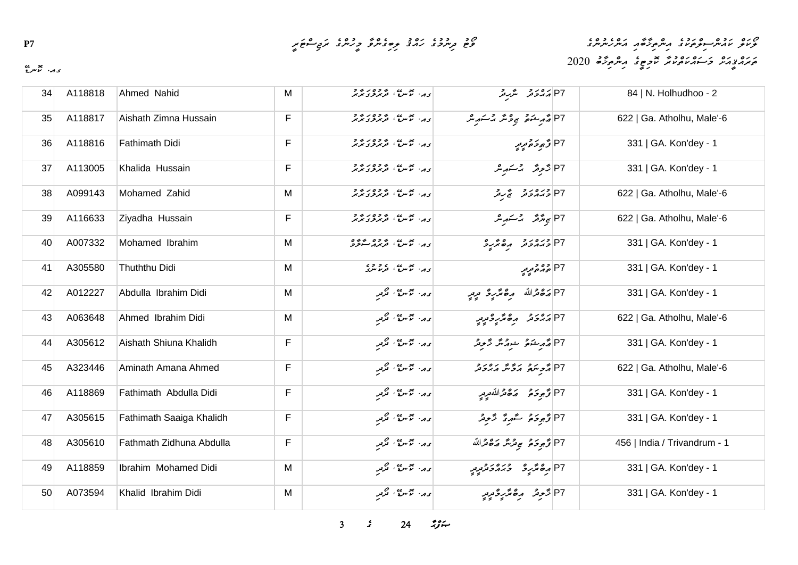*sCw7q7s5w7m< o<n9nOoAw7o< sCq;mAwBoEw7q<m; wBm;vB* م من المرة المرة المرة المرجع المرجع في المركبة 2020<br>مجم*د المريض المربوط المربع المرجع في المراجع المركبة* 

| 34 | A118818 | Ahmed Nahid              | M           | ى دىستەن ئەرەر بەر<br>ئەرسىسى: ئىرىر بورى بىرىر        | P7 <i>ړې دی.</i> سرب                                 | 84   N. Holhudhoo - 2        |
|----|---------|--------------------------|-------------|--------------------------------------------------------|------------------------------------------------------|------------------------------|
| 35 | A118817 | Aishath Zimna Hussain    | F           |                                                        | P7 مۇم شەق ب <sub>و</sub> دىگە ج <sup>ى</sup> سكەپ ش | 622   Ga. Atholhu, Male'-6   |
| 36 | A118816 | <b>Fathimath Didi</b>    | F           | بر به به به ده ده د و د<br>بر از انتشار از مربوبو بربر | P7 ۇ <sub>جو</sub> رَ م <sup>3</sup> دىرىر           | 331   GA. Kon'dey - 1        |
| 37 | A113005 | Khalida Hussain          | F           | ى دىستى، ئەرەر دەر                                     | P7 گرونڈ کے شہر بنگ                                  | 331   GA. Kon'dey - 1        |
| 38 | A099143 | Mohamed Zahid            | M           |                                                        | P7 دېم دې ځې تر                                      | 622   Ga. Atholhu, Male'-6   |
| 39 | A116633 | Ziyadha Hussain          | $\mathsf F$ | ى دىستى، ئەرەر دەر                                     | P7 يې مَرْتَمَر گر <sup>ے</sup> م <sup>ر</sup> مَر   | 622   Ga. Atholhu, Male'-6   |
| 40 | A007332 | Mohamed Ibrahim          | M           | ى دىستى، ئۇ دەر مەدە                                   | P7 ديرو در مقترب                                     | 331   GA. Kon'dey - 1        |
| 41 | A305580 | Thuththu Didi            | M           | ی پر سمیت ہے وہ وہ<br>بر سمیت فرماسی                   | P7 ح.م. حومبرمبر<br>P7 ح.م. ح.م.                     | 331   GA. Kon'dey - 1        |
| 42 | A012227 | Abdulla Ibrahim Didi     | M           | ى مەستىمى ئىچ                                          | P7 رَصْحْرَاللَّهُ مِنْ حُرَّرِ مِرْمِرِ             | 331   GA. Kon'dey - 1        |
| 43 | A063648 | Ahmed Ibrahim Didi       | M           | ى مەستىن قرىر                                          | P7 كەمرو بەھ <i>گەر ۋ</i> ىرىر<br>ج                  | 622   Ga. Atholhu, Male'-6   |
| 44 | A305612 | Aishath Shiuna Khalidh   | F           | ى مەسىم سىنى ئىقرىس                                    | P7 مەم خىم ئىمەمگر گە <i>چ</i> ىر                    | 331   GA. Kon'dey - 1        |
| 45 | A323446 | Aminath Amana Ahmed      | F           | ى مەستى، ئۇمۇ                                          | P7 <i>مُجْرِسُمْ مُجُسُّ مُ</i> بُرِ <i>وِيْرِ</i>   | 622   Ga. Atholhu, Male'-6   |
| 46 | A118869 | Fathimath Abdulla Didi   | $\mathsf F$ | ى مەستىمى ئىچ                                          | P7 وَجِرِحَةٍ مَنْ صَرَّاللَّهُ مِرْمَرٍ             | 331   GA. Kon'dey - 1        |
| 47 | A305615 | Fathimath Saaiga Khalidh | F           | ى مەستى، ئۇمۇ                                          | P7 <i>وَّجِودَةْ</i> سُمَّهِ وَ رَّجِعْرَ            | 331   GA. Kon'dey - 1        |
| 48 | A305610 | Fathmath Zidhuna Abdulla | $\mathsf F$ | ى مەستىن قرىر                                          | P7 <i>وَّجِرْحَمْ بِبِعْرَمَّرَ مَ</i> صْغَرَاللَّهُ | 456   India / Trivandrum - 1 |
| 49 | A118859 | Ibrahim Mohamed Didi     | M           | ى مەستىن قرىر                                          | P7 مەھگرى <sup>1</sup> مەمەمەمبرىر                   | 331   GA. Kon'dey - 1        |
| 50 | A073594 | Khalid Ibrahim Didi      | M           | ى مەستىمى ئىقمى تىمى بىر                               | P7 <i>ڈونڈ م</i> ے <i>نگر ڈیوی</i> ر                 | 331   GA. Kon'dey - 1        |

**3** *s* **24** *z***<sub>3</sub> <del>***z*</del>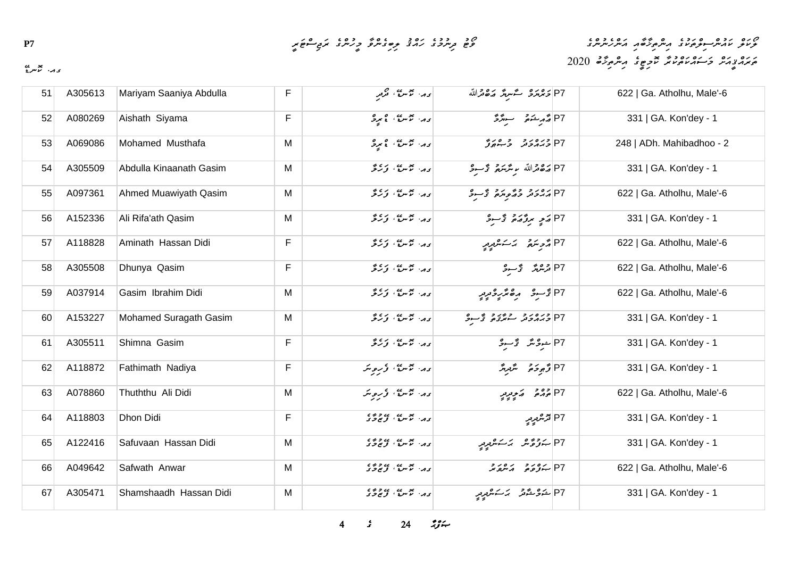*sCw7q7s5w7m< o<n9nOoAw7o< sCq;mAwBoEw7q<m; wBm;vB* م من المرة المرة المرة المرجع المرجع في المركبة 2020<br>مجم*د المريض المربوط المربع المرجع في المراجع المركبة* 

| 51 | A305613 | Mariyam Saaniya Abdulla      | $\mathsf F$ | ا <i>وه . مع مدعی . فر</i> مبر                                  | P7 <i>وَمُحْمَّدٌ مُسْبِعٌ مُ</i> هْمَّرَاللَّهُ | 622   Ga. Atholhu, Male'-6 |
|----|---------|------------------------------|-------------|-----------------------------------------------------------------|--------------------------------------------------|----------------------------|
| 52 | A080269 | Aishath Siyama               | F           | ا دە، ئوسۇ، كامرۇ                                               | P7 مەم ئىستىم ئىس بىر                            | 331   GA. Kon'dey - 1      |
| 53 | A069086 | Mohamed Musthafa             | M           | المدرسة سنة المجموع                                             | P7 در در در درو                                  | 248   ADh. Mahibadhoo - 2  |
| 54 | A305509 | Abdulla Kinaanath Gasim      | M           | ا دە، ئاسقا، ئەرق                                               | P7 مَءْمَّدَاللَّهُ مِسَّرَسَهُمْ تَحْسُوطُ      | 331   GA. Kon'dey - 1      |
| 55 | A097361 | <b>Ahmed Muawiyath Qasim</b> | M           | ا دە. ئاسقا، زرد تە                                             | P7 <i>הייכת כהפתח יצ</i> יב                      | 622   Ga. Atholhu, Male'-6 |
| 56 | A152336 | Ali Rifa'ath Qasim           | M           | ى ئەستىن، ئەرقى                                                 | P7 <i>مَجِ بِرِؤْمَةً</i> تَوْسِرْ               | 331   GA. Kon'dey - 1      |
| 57 | A118828 | Aminath Hassan Didi          | $\mathsf F$ | ى دىكى ئۇرگە                                                    | P7 مٌ <i>وِ مَرْهْ بِهُ سَنَسْوِيدِ بِهِ</i>     | 622   Ga. Atholhu, Male'-6 |
| 58 | A305508 | Dhunya Qasim                 | $\mathsf F$ | ى يەر ئەسقا ئەرق                                                | P7 مُرْسْرَدٌ تَحْ-وَ                            | 622   Ga. Atholhu, Male'-6 |
| 59 | A037914 | Gasim Ibrahim Didi           | M           | ى ئەستىن، ئەرجى                                                 | P7 تَرْسوڤ مِرڠمَّر وقبِيرِ                      | 622   Ga. Atholhu, Male'-6 |
| 60 | A153227 | Mohamed Suragath Gasim       | M           | ى ئەستىن، ئەرج                                                  | P7 دېرو ده د د ورو څخه د                         | 331   GA. Kon'dey - 1      |
| 61 | A305511 | Shimna Gasim                 | F           | ى ئەستى» ئەرج                                                   | P7 جو مگر گرجو گ                                 | 331   GA. Kon'dey - 1      |
| 62 | A118872 | Fathimath Nadiya             | F           | ىد. ئۇمىڭ، ۋىرەپتر                                              | P7 تُہورَ ج سگیرمَّر                             | 331   GA. Kon'dey - 1      |
| 63 | A078860 | Thuththu Ali Didi            | M           | ىدا ئىم يىسى ئۈرۈپكە                                            | P7 <i>وه. و</i> مَوِمِرِمِرِ                     | 622   Ga. Atholhu, Male'-6 |
| 64 | A118803 | Dhon Didi                    | F           | ى مەسى» ئەج ئ                                                   | P7   قريروبر                                     | 331   GA. Kon'dey - 1      |
| 65 | A122416 | Safuvaan Hassan Didi         | M           | $\frac{3334}{355}$ $\frac{337}{10}$ $\frac{337}{10}$            | P7 جۇۋىر كەشھ <i>رىي</i>                         | 331   GA. Kon'dey - 1      |
| 66 | A049642 | Safwath Anwar                | M           | ) در سی سر ده ده ده در در استفاده کند.<br>در سال سرع از موجود ک | P7 ينورو پر درورو                                | 622   Ga. Atholhu, Male'-6 |
| 67 | A305471 | Shamshaadh Hassan Didi       | M           | بر بر بر ده ده ده ده د<br>در اس کل و دی                         | P7 شكى شكى كەسكىھىرىر                            | 331   GA. Kon'dey - 1      |

*4 s* 24 *z*<sub>3</sub> *z*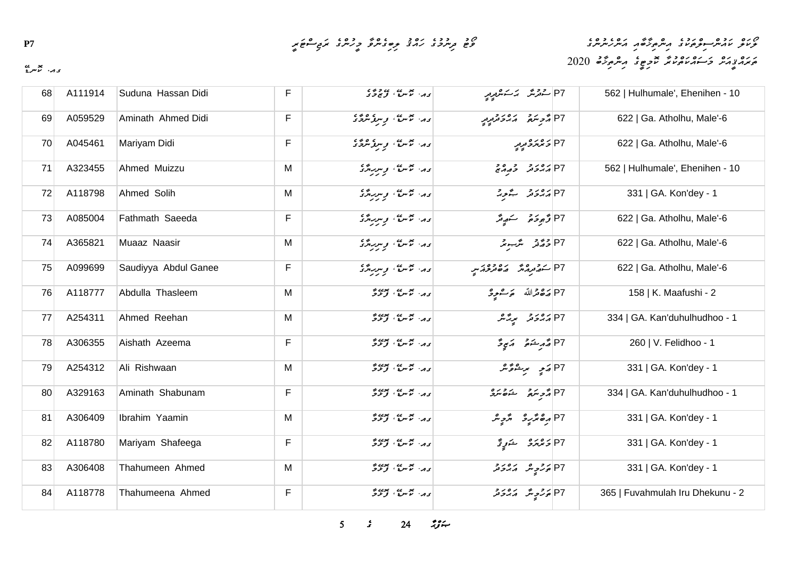*sCw7q7s5w7m< o<n9nOoAw7o< sCq;mAwBoEw7q<m; wBm;vB* م من المرة المرة المرة المرجع المرجع في المركبة 2020<br>مجم*د المريض المربوط المربع المرجع في المراجع المركبة* 

| 68 | A111914 | Suduna Hassan Didi   | F           | ی پر سی سے منصوبے کا انتظام کا انتظام کر دیا جاتا ہے کہ ان کے انتظام کا انتظام کا انتظام کا انتظام کا انتظام ک<br>منصوب کا انتظام کا انتظام کرنے کے لیے انتظام کر انتظام کی بیٹ کر کی ایک کا انتظام کی بیٹ کر انتظام کر کر کر کے | P7 گےنگرنگر کے کےنگرہویں                    | 562   Hulhumale', Ehenihen - 10  |
|----|---------|----------------------|-------------|----------------------------------------------------------------------------------------------------------------------------------------------------------------------------------------------------------------------------------|---------------------------------------------|----------------------------------|
| 69 | A059529 | Aminath Ahmed Didi   | $\mathsf F$ | ىم بىمىت بېرتىس                                                                                                                                                                                                                  | P7 مُّ <i>جِسَمُ مُدُوَ مُّرْمِرِ مِ</i> رِ | 622   Ga. Atholhu, Male'-6       |
| 70 | A045461 | Mariyam Didi         | $\mathsf F$ | ىد. ئەستا، پەستەمدى                                                                                                                                                                                                              | P7 كەبەر 3 مەير                             | 622   Ga. Atholhu, Male'-6       |
| 71 | A323455 | Ahmed Muizzu         | M           | ا دە. ئاسق <sup>ى</sup> ۋىىر <i>بەدى</i>                                                                                                                                                                                         | P7 ג׳כנג כבירה                              | 562   Hulhumale', Ehenihen - 10  |
| 72 | A118798 | Ahmed Solih          | M           | .<br>در کاستان و سربردی                                                                                                                                                                                                          | P7   پروتو گور                              | 331   GA. Kon'dey - 1            |
| 73 | A085004 | Fathmath Saeeda      | $\mathsf F$ | ىدا ئەستا ۋىرىدىگى                                                                                                                                                                                                               | P7 <i>وَّجِوَدَةْ</i> سَم <i>َ مِ</i> مَّدْ | 622   Ga. Atholhu, Male'-6       |
| 74 | A365821 | Muaaz Naasir         | M           | ى مەستى بولىرىدى                                                                                                                                                                                                                 | P7 دەقەر س <sup>ى</sup> رىبەتر              | 622   Ga. Atholhu, Male'-6       |
| 75 | A099699 | Saudiyya Abdul Ganee | F           | ا دە. ئۇس <sup>ى،</sup> يەس <i>رى</i> رىگە                                                                                                                                                                                       | P7 המעמית הסיניצות <sub>ש</sub>             | 622   Ga. Atholhu, Male'-6       |
| 76 | A118777 | Abdulla Thasleem     | M           | ى ئەستەر ئەيدە                                                                                                                                                                                                                   | P7 مَـُـهُ مِّرْاللّه مَ مَــْمُوِرْ        | 158   K. Maafushi - 2            |
| 77 | A254311 | Ahmed Reehan         | M           | ى دىكى ئەيدە ئەيدە ئە                                                                                                                                                                                                            | P7 <i>ړُ پرڅنگ پرينگر</i>                   | 334   GA. Kan'duhulhudhoo - 1    |
| 78 | A306355 | Aishath Azeema       | $\mathsf F$ | ى ئەستى، ئېزىق                                                                                                                                                                                                                   | P7 مەم شىم كىم ئىچ                          | 260   V. Felidhoo - 1            |
| 79 | A254312 | Ali Rishwaan         | M           | ى دىستى ئۆلۈم                                                                                                                                                                                                                    | P7 <i>ھَ۔</i> برڪوشر                        | 331   GA. Kon'dey - 1            |
| 80 | A329163 | Aminath Shabunam     | F           | ى دىن ئەستى، ئۇغۇچ                                                                                                                                                                                                               | P7 مُجِسَعَ شَقْسَعَ                        | 334   GA. Kan'duhulhudhoo - 1    |
| 81 | A306409 | Ibrahim Yaamin       | M           | ى دىكى ئەيدە ئەيدە                                                                                                                                                                                                               | P7 م <i>ەھترى</i> مۇم <sub>چ</sub> ىر       | 331   GA. Kon'dey - 1            |
| 82 | A118780 | Mariyam Shafeega     | $\mathsf F$ | ى دىن ئەستى، ئۇغۇچ                                                                                                                                                                                                               | P7  <i>وَ جُهْرُوْ َ</i> شَمَوٍ تَحْ        | 331   GA. Kon'dey - 1            |
| 83 | A306408 | Thahumeen Ahmed      | M           | ى ئەستە، ئۇيدە                                                                                                                                                                                                                   | P7 <sub>م</sub> حرَّجِ مَدْ مَدَّو مَدْ     | 331   GA. Kon'dey - 1            |
| 84 | A118778 | Thahumeena Ahmed     | F           | ی پر به سره به سوره به د                                                                                                                                                                                                         | P7 يَحْرَجِ بِيَّ مَجْرَدَ مَدْ             | 365   Fuvahmulah Iru Dhekunu - 2 |

 $5$   $5$   $24$   $25$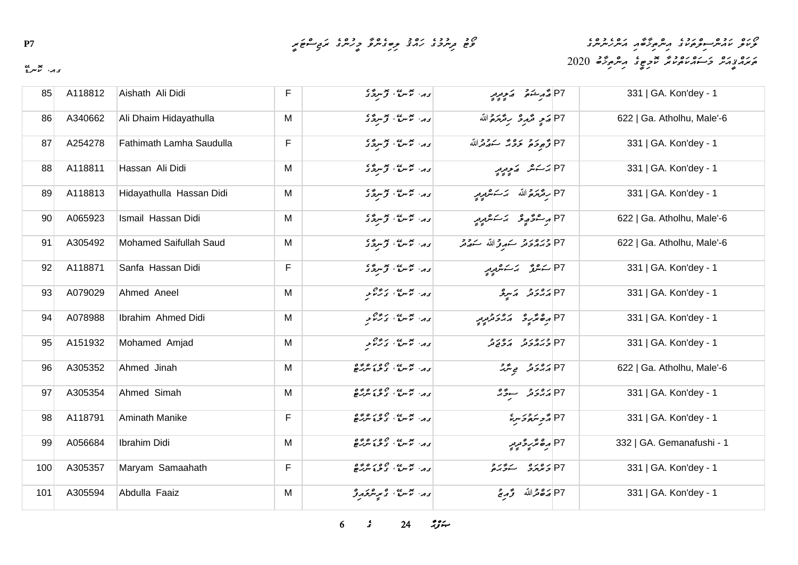*sCw7q7s5w7m< o<n9nOoAw7o< sCq;mAwBoEw7q<m; wBm;vB* م من المرة المرة المرة المرجع المرجع في المركبة 2020<br>مجم*د المريض المربوط المربع المرجع في المراجع المركبة* 

| 85  | A118812 | Aishath Ali Didi         | $\mathsf F$ | ى مەستى ئوسىدى                               | P7 م <i>مَّ مرحَّمَۃ مَومِرِم</i> رِ          | 331   GA. Kon'dey - 1      |
|-----|---------|--------------------------|-------------|----------------------------------------------|-----------------------------------------------|----------------------------|
| 86  | A340662 | Ali Dhaim Hidayathulla   | M           | ى مەستىرى، ئۆسرۈي                            | P7 كەمچ قەرەق رىقەترە للە                     | 622   Ga. Atholhu, Male'-6 |
| 87  | A254278 | Fathimath Lamha Saudulla | $\mathsf F$ | دە. ئوسۇ، ئۇس <i>ردى</i>                     | P7 وَجِرَدَةَ وَدَيْرَ سَنَّةَ مِرْاللَّهُ    | 331   GA. Kon'dey - 1      |
| 88  | A118811 | Hassan Ali Didi          | M           | $\overleftrightarrow{S}$                     | P7 پرسکر کے مر <sub>جو م</sub> یں پ           | 331   GA. Kon'dey - 1      |
| 89  | A118813 | Hidayathulla Hassan Didi | M           | ى مەستىرى، ئۆسرۈي                            | P7 بِتَرْمَرْمُ اللّه    بَرْسَة مْرْمِرِمْرِ | 331   GA. Kon'dey - 1      |
| 90  | A065923 | Ismail Hassan Didi       | M           | ى ئەستەر ئۆسىدە                              | P7 م <i>ې</i> شۇم <sub>ۇ</sub> بۇ كەشھېرىيە   | 622   Ga. Atholhu, Male'-6 |
| 91  | A305492 | Mohamed Saifullah Saud   | M           | ى ئەستەر ئۆسىدە                              | P7 <i>وبروبرو سورق</i> الله س <i>ورو</i>      | 622   Ga. Atholhu, Male'-6 |
| 92  | A118871 | Sanfa Hassan Didi        | F           | ى ئەستەر ئۆسىدە                              | P7 ڪيشو ڪي پرڪيش پيريبر                       | 331   GA. Kon'dey - 1      |
| 93  | A079029 | Ahmed Aneel              | M           | ى مەستى بەلگەن                               | P7 <i>ړُدو ته ډېرو</i>                        | 331   GA. Kon'dey - 1      |
| 94  | A078988 | Ibrahim Ahmed Didi       | M           | ى ئەستەر ئەرەبىي                             | P7 مەھمگىرى مەركەت ئىرىدىر                    | 331   GA. Kon'dey - 1      |
| 95  | A151932 | Mohamed Amjad            | ${\sf M}$   | ى ئەستەر ئەرەمى                              | P7 دره د د بره د د                            | 331   GA. Kon'dey - 1      |
| 96  | A305352 | Ahmed Jinah              | M           | $0.90000$ $0.7500$ $0.750$                   | P7 <i>مَدْدَوْتَرْ بِهِ مَّرْدُ</i>           | 622   Ga. Atholhu, Male'-6 |
| 97  | A305354 | Ahmed Simah              | M           | ى بەر سىن ئەمەرە بەرە                        | P7 <i>ډېر دي.</i><br>مهر دي.                  | 331   GA. Kon'dey - 1      |
| 98  | A118791 | Aminath Manike           | $\mathsf F$ |                                              | P7 مُ <i>جِ سَهُ وَ سِ</i> يعُ                | 331   GA. Kon'dey - 1      |
| 99  | A056684 | Ibrahim Didi             | M           | ى مەسەبىي 200 دەپرە                          | P7 <sub>مر</sub> ة مُرْرٍ وْ مِرْمِرِ         | 332   GA. Gemanafushi - 1  |
| 100 | A305357 | Maryam Samaahath         | $\mathsf F$ | ی در سوری می در ۱۵۶۵<br>بردار موسوع از مورکع | P7 <i>ۇنى بىر ئىش مەنبە</i> ر                 | 331   GA. Kon'dey - 1      |
| 101 | A305594 | Abdulla Faaiz            | M           | ىما بىر ھەتكا ئىچ بىر بىر بىر بىر بىر        | P7 كەھەراللە ئ <i>ۇم</i> ى                    | 331   GA. Kon'dey - 1      |

 $6$   $\frac{1}{5}$   $24$   $\frac{1}{5}$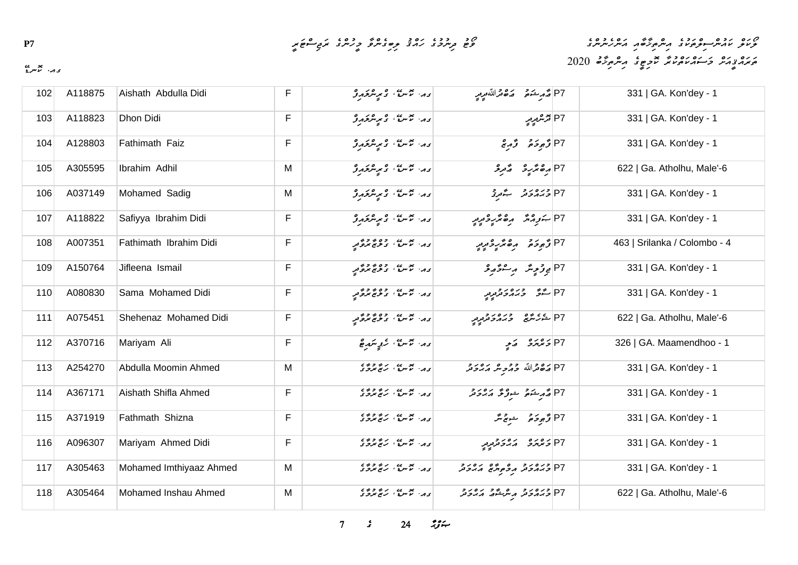*sCw7q7s5w7m< o<n9nOoAw7o< sCq;mAwBoEw7q<m; wBm;vB* م من المرة المرة المرة المرجع المرجع في المركبة 2020<br>مجم*د المريض المربوط المربع المرجع في المراجع المركبة* 

| 102 | A118875 | Aishath Abdulla Didi    | F           | ىما ئەستا، ئىر شرىئەر      | P7 صَّمَ مُشْمَعٌ مَصْحَدِ اللَّهُ مِرْمَرِ                                                                    | 331   GA. Kon'dey - 1        |
|-----|---------|-------------------------|-------------|----------------------------|----------------------------------------------------------------------------------------------------------------|------------------------------|
| 103 | A118823 | Dhon Didi               | F           | ىما سىمىتى، ئىم سىم ئىم ئى | P7   قرير بر بر                                                                                                | 331   GA. Kon'dey - 1        |
| 104 | A128803 | Fathimath Faiz          | F           | ىما سىمىت، ئىم ئىر ئىرىدۇ  | P7 وَّجِوحَةٌ وَّمِدِجْ                                                                                        | 331   GA. Kon'dey - 1        |
| 105 | A305595 | Ibrahim Adhil           | M           | دە. ئاس؟، ئىمپ ئىروز       | P7 م <i>ەھترى</i> ھەمرى                                                                                        | 622   Ga. Atholhu, Male'-6   |
| 106 | A037149 | Mohamed Sadig           | M           | ى مەستى» ئىمە ئىمە ئىرىدۇ. | P7 <i>ۋېرو دو</i> گورن <sub>چ</sub>                                                                            | 331   GA. Kon'dey - 1        |
| 107 | A118822 | Safiyya Ibrahim Didi    | F           | ىما سىمىت ئىم شركى بى      | P7 ج <i>زوڤر وەڭرى</i> ۋىرىر                                                                                   | 331   GA. Kon'dey - 1        |
| 108 | A007351 | Fathimath Ibrahim Didi  | F           | ى دىستىستى، ئەھەم دەس      | P7 <i>وَّجِودَةُ م</i> ِ صُ <i>مَّرٍ و</i> ُمِرِسٍ                                                             | 463   Srilanka / Colombo - 4 |
| 109 | A150764 | Jifleena Ismail         | F           | ى دىستىن ئىچ ئىچ ئىچ قىر   | P7 يوژمچينز - مرشتر <i>ة م</i> ق                                                                               | 331   GA. Kon'dey - 1        |
| 110 | A080830 | Sama Mohamed Didi       | F           | ى دىستى» بەھەم دەپر        | P7 گرمج محمد بر المرو بر مور بر بر بر استقلاب به استقلاب بر استقلاب بر استقلاب بر استقلاب بر استقلاب بر استقلا | 331   GA. Kon'dey - 1        |
| 111 | A075451 | Shehenaz Mohamed Didi   | F           | ى دىستى، مەم مەم           | P7 څرگړي وروروپور                                                                                              | 622   Ga. Atholhu, Male'-6   |
| 112 | A370716 | Mariyam Ali             | F           | ى مەستى، ئېرىئىدە          | P7 <i>5 پر پڑو کی ب</i>                                                                                        | 326   GA. Maamendhoo - 1     |
| 113 | A254270 | Abdulla Moomin Ahmed    | M           | ى دىستىم ئەستىم ئەرەبىيە   | P7 رَصْرَاللّهُ ۖ وَرَوِيْرُ رَبِّرُوَيْرِ                                                                     | 331   GA. Kon'dey - 1        |
| 114 | A367171 | Aishath Shifla Ahmed    | $\mathsf F$ | ى ئەستەر ئەتەرە            | P7 مەم شىر سىرى ئىم مەم دەر د                                                                                  | 331   GA. Kon'dey - 1        |
| 115 | A371919 | Fathmath Shizna         | F           | ى دىستىستى، ئەنج بىرى ئ    | P7 <i>وَّهِ دَهُ</i> شَمِّ مَّرْ                                                                               | 331   GA. Kon'dey - 1        |
| 116 | A096307 | Mariyam Ahmed Didi      | F           | ى دىستە ئەرەبەر            | P7 كەنگەر ئەر ئەر ئەر بىر                                                                                      | 331   GA. Kon'dey - 1        |
| 117 | A305463 | Mohamed Imthiyaaz Ahmed | M           | ى دىستە ئەرەپ دە           | P7 כגובנג וכתום הסגב                                                                                           | 331   GA. Kon'dey - 1        |
| 118 | A305464 | Mohamed Inshau Ahmed    | M           | ى دىن سى ئەرەبىرى ئە       | P7 دېرورو مرغو په دې ده د                                                                                      | 622   Ga. Atholhu, Male'-6   |

*7 sC 24 nNw?mS*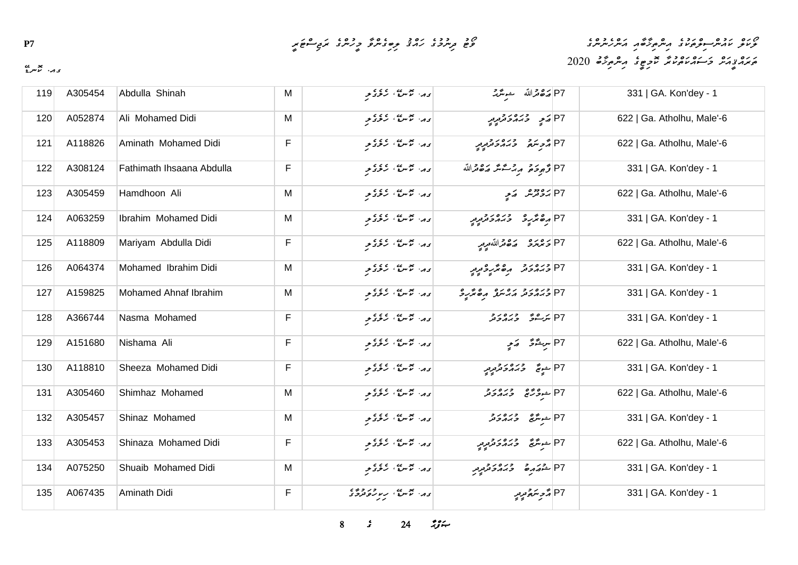*sCw7q7s5w7m< o<n9nOoAw7o< sCq;mAwBoEw7q<m; wBm;vB* م من المرة المرة المرة المرجع المرجع في المركبة 2020<br>مجم*د المريض المربوط المربع المرجع في المراجع المركبة* 

| 119 | A305454 | Abdulla Shinah            | M            | ى ئەستەت ئەمەم                                           | P7 مَرْدُوْرَاللّه مُ مِعْرَمْ                       | 331   GA. Kon'dey - 1      |
|-----|---------|---------------------------|--------------|----------------------------------------------------------|------------------------------------------------------|----------------------------|
| 120 | A052874 | Ali Mohamed Didi          | M            | ى ئەستۇ، ئورىخ                                           | P7 كەي تەرەكەترىرىر                                  | 622   Ga. Atholhu, Male'-6 |
| 121 | A118826 | Aminath Mohamed Didi      | F            | أوها الممسكة المرووع                                     | P7 <i>مُّ حِ سَمَّة حَ مَدْ مُ</i> حَمَّدِ مِرِ مِرِ | 622   Ga. Atholhu, Male'-6 |
| 122 | A308124 | Fathimath Ihsaana Abdulla | $\mathsf{F}$ | ى ئەستەت، ئىغمى ئو                                       | P7 <i>وَّجِوَدَّة مِدْسَّنَّة مَ</i> قَوَّدَاللَّهُ  | 331   GA. Kon'dey - 1      |
| 123 | A305459 | Hamdhoon Ali              | M            | ى ئەستەت ئىچ ئە                                          | P7 پروټرنگر <b>پ</b> ې په                            | 622   Ga. Atholhu, Male'-6 |
| 124 | A063259 | Ibrahim Mohamed Didi      | M            | ى مەستان ئىچ ئەم                                         | P7 مەھەر ئەرەر ئەھمەدىرىر                            | 331   GA. Kon'dey - 1      |
| 125 | A118809 | Mariyam Abdulla Didi      | F            | ى ئەستەت ئەمەم                                           | P7 <i>5 بح</i> جر <i>5 م 5 م</i> ح تر اللّه مرمرٍ    | 622   Ga. Atholhu, Male'-6 |
| 126 | A064374 | Mohamed Ibrahim Didi      | M            | أوها الممسكة المرودي                                     | P7 دېم د ده مرگه د ورمړ<br>P7 دېم د ده مرگه د د      | 331   GA. Kon'dey - 1      |
| 127 | A159825 | Mohamed Ahnaf Ibrahim     | M            | ى ئەستەر ئەرەبىر                                         | P7 در مرد برو رو مقررو                               | 331   GA. Kon'dey - 1      |
| 128 | A366744 | Nasma Mohamed             | F            | ى سىمىن، ئىچى بى                                         | P7 يَرْبُدُوَّ - 25,050                              | 331   GA. Kon'dey - 1      |
| 129 | A151680 | Nishama Ali               | F            | ى سىمىن، ئىچى بى                                         | P7 سرڪر <i>۾ ج</i>                                   | 622   Ga. Atholhu, Male'-6 |
| 130 | A118810 | Sheeza Mohamed Didi       | F            | ى مەستان ئىچ ئەم                                         | P7  سەنگ ئ <i>ەتمەتمەترى</i> رىر                     | 331   GA. Kon'dey - 1      |
| 131 | A305460 | Shimhaz Mohamed           | M            | أوها الممسكة المرودي                                     | P7 خو <i>دگاه در درو</i>                             | 622   Ga. Atholhu, Male'-6 |
| 132 | A305457 | Shinaz Mohamed            | M            | ى سىمىن، ئىۋە ب                                          | P7 شوشچ و در در د                                    | 331   GA. Kon'dey - 1      |
| 133 | A305453 | Shinaza Mohamed Didi      | $\mathsf{F}$ | أى مستعمل المنافع والمحمد والمحمد والمحمد المحمد المنافس | P7 خېشتم د د د د وروپړ                               | 622   Ga. Atholhu, Male'-6 |
| 134 | A075250 | Shuaib Mohamed Didi       | M            | أوها الممسكاء المرووح                                    | P7 شهره وروروبر                                      | 331   GA. Kon'dey - 1      |
| 135 | A067435 | Aminath Didi              | F            | در به سره بر روز و د و د و د و د بر ا                    | P7 مُ <i>حِ سَمَوْ مَدِيدِ</i>                       | 331   GA. Kon'dey - 1      |

**8** *s* **24** *z***<sub>3</sub><del>c</del></sub>**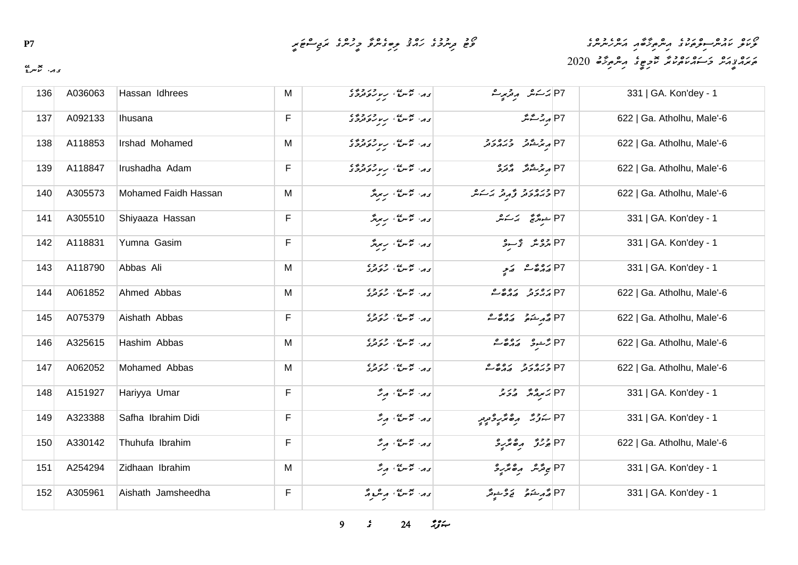*sCw7q7s5w7m< o<n9nOoAw7o< sCq;mAwBoEw7q<m; wBm;vB* م من المرة المرة المرة المرجع المرجع في المركبة 2020<br>مجم*د المريض المربوط المربع المرجع في المراجع المركبة* 

| 136 | A036063 | Hassan Idhrees       | M           | ى ئەستىمى ئەس ئەرەپ ئە    | P7 برَسَمْرُ <sub>م</sub> ورْمِرِ <sup>م</sup> ْ | 331   GA. Kon'dey - 1      |
|-----|---------|----------------------|-------------|---------------------------|--------------------------------------------------|----------------------------|
| 137 | A092133 | Ihusana              | $\mathsf F$ | ى مەستى، سىر ئەھەرى       | P7 بریژشگر                                       | 622   Ga. Atholhu, Male'-6 |
| 138 | A118853 | Irshad Mohamed       | M           |                           | P7 مەشقى <i>مەم</i> ەم                           | 622   Ga. Atholhu, Male'-6 |
| 139 | A118847 | Irushadha Adam       | $\mathsf F$ | در سمس رسده دوه           | P7 م <i>ې تر</i> شتر مرکزی                       | 622   Ga. Atholhu, Male'-6 |
| 140 | A305573 | Mohamed Faidh Hassan | M           | الام المعمديَّة الرسمانيّ | P7 <i>وَيَ</i> مُومَ تَرَ وَمِنْ يَرَ يَمْسُ     | 622   Ga. Atholhu, Male'-6 |
| 141 | A305510 | Shiyaaza Hassan      | $\mathsf F$ | الام سميتى رىدىگە         | P7 ش <sub>وت</sub> رنج بركتر مل                  | 331   GA. Kon'dey - 1      |
| 142 | A118831 | Yumna Gasim          | $\mathsf F$ | ى مەستومىق، سىدىنى        | P7 پرونګر گ <sup>ې</sup> دو                      | 331   GA. Kon'dey - 1      |
| 143 | A118790 | Abbas Ali            | M           | ى دىستىستى، ئەرەبى        | P7 مەمۇرى مەم                                    | 331   GA. Kon'dey - 1      |
| 144 | A061852 | Ahmed Abbas          | M           | ی پر به سرع کرده و د      | $25222$ $7227$ $P7$                              | 622   Ga. Atholhu, Male'-6 |
| 145 | A075379 | Aishath Abbas        | F           | ی پر به سرع کرده و د      | $2822$ $222$                                     | 622   Ga. Atholhu, Male'-6 |
| 146 | A325615 | Hashim Abbas         | M           | ی پر سمیت کروی            | P7 رَّ <sub>سُو</sub> رَ <b>12.2 مَ</b>          | 622   Ga. Atholhu, Male'-6 |
| 147 | A062052 | Mohamed Abbas        | M           | ی پر به سرع کرده و د      | $282222$ P7                                      | 622   Ga. Atholhu, Male'-6 |
| 148 | A151927 | Hariyya Umar         | $\mathsf F$ | ا دە، ئوتىن مەڭ           | P7 ب <i>زیره بر ور د</i>                         | 331   GA. Kon'dey - 1      |
| 149 | A323388 | Safha Ibrahim Didi   | $\mathsf F$ | ا دە، ئوسقا، دېڭ          | P7 جۇڭ م <i>ەھەر دەم</i> پرومېر                  | 331   GA. Kon'dey - 1      |
| 150 | A330142 | Thuhufa Ibrahim      | $\mathsf F$ | ا دە، ئوتىن مەڭ           | P7 ۾ريو مھڻريو                                   | 622   Ga. Atholhu, Male'-6 |
| 151 | A254294 | Zidhaan Ibrahim      | M           | ا دە، ئوسقا، دېڭ          | P7 ى <sub>و</sub> مَّەش م <i>ەھت</i> رىبە P7     | 331   GA. Kon'dey - 1      |
| 152 | A305961 | Aishath Jamsheedha   | F           | ى مەستىپ، مەسىر قى        | P7 مُەرشەم ق <sup>ى</sup> مۇش <sub>ى</sub> مگر   | 331   GA. Kon'dey - 1      |

*9 s* 24 *z*<sub>*3i*</sub>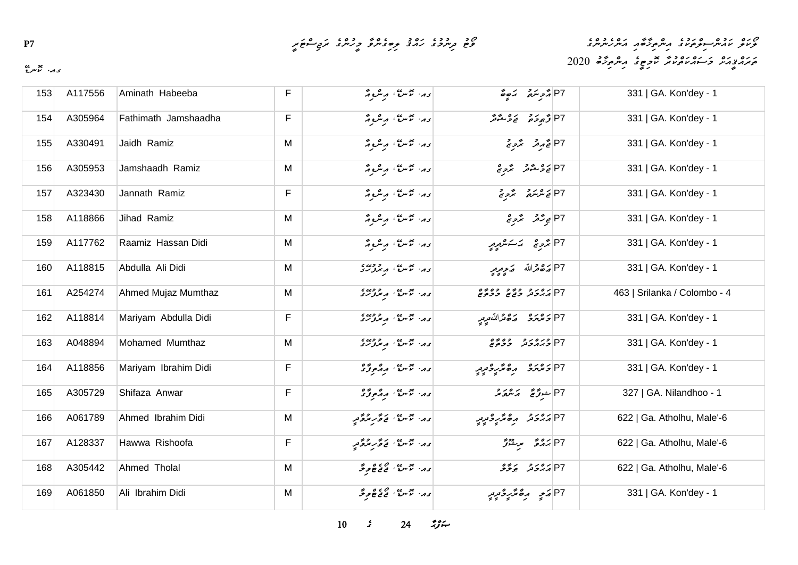*sCw7q7s5w7m< o<n9nOoAw7o< sCq;mAwBoEw7q<m; wBm;vB* م من المرة المرة المرة المرجع المرجع في المركبة 2020<br>مجم*د المريض المربوط المربع المرجع في المراجع المركبة* 

| 153 | A117556 | Aminath Habeeba      | $\mathsf F$  | ىد. ئەستى، مەشمەتم                                                                                                                                                                                                              | P7 مُجِسَعَ بَصِرَةٌ                                 | 331   GA. Kon'dey - 1        |
|-----|---------|----------------------|--------------|---------------------------------------------------------------------------------------------------------------------------------------------------------------------------------------------------------------------------------|------------------------------------------------------|------------------------------|
| 154 | A305964 | Fathimath Jamshaadha | $\mathsf{F}$ | ىد. ئەستى، مەشدەڭ                                                                                                                                                                                                               | P7 <i>وَّجِ وَحَمَّة فَاحْتَمَ</i> ّةَ               | 331   GA. Kon'dey - 1        |
| 155 | A330491 | Jaidh Ramiz          | M            | ىد. ئەستى، مەشمەتم                                                                                                                                                                                                              | P7 قَدِيرٌ مُحْرِجٌ                                  | 331   GA. Kon'dey - 1        |
| 156 | A305953 | Jamshaadh Ramiz      | M            | ىد. ئەستى، مەشمەتم                                                                                                                                                                                                              | P7 <sub>مَح</sub> وَّشَمَرَ مَرَّ <sub>ح</sub> ِ مَح | 331   GA. Kon'dey - 1        |
| 157 | A323430 | Jannath Ramiz        | $\mathsf{F}$ | ىد. ئەستى، مەشدەڭ                                                                                                                                                                                                               | P7 کے شر <i>مت</i> عو گھرمتے                         | 331   GA. Kon'dey - 1        |
| 158 | A118866 | Jihad Ramiz          | M            | ىد. ئەستى، مەشدەڭ                                                                                                                                                                                                               | P7 م <i>ِی ڈُڈ گُرْدِ</i> مُحْ                       | 331   GA. Kon'dey - 1        |
| 159 | A117762 | Raamiz Hassan Didi   | M            | ىد. ئەستى، مەسىم ق                                                                                                                                                                                                              | P7 څر <i>و</i> نج کار شرور مړ                        | 331   GA. Kon'dey - 1        |
| 160 | A118815 | Abdulla Ali Didi     | M            | د د. سی در دوره داده کار داده کار داده که به داده استان که به داده که بازی که بازی که بازی که بازی که بازی که<br>بازی که بازی که بازی که بازی که بازی که بازی که بازی که بازی که بازی که بازی که بازی که بازی که بازی که بازی ک | P7 مەھىراللە مەمەمەمە                                | 331   GA. Kon'dey - 1        |
| 161 | A254274 | Ahmed Mujaz Mumthaz  | M            | د مستحدث معرومی د                                                                                                                                                                                                               |                                                      | 463   Srilanka / Colombo - 4 |
| 162 | A118814 | Mariyam Abdulla Didi | F            |                                                                                                                                                                                                                                 | P7 <i>5 جهزي ج</i> ه صوالله مرمر                     | 331   GA. Kon'dey - 1        |
| 163 | A048894 | Mohamed Mumthaz      | ${\sf M}$    | د مستحدث معرومی د                                                                                                                                                                                                               | P7 32022 P7                                          | 331   GA. Kon'dey - 1        |
| 164 | A118856 | Mariyam Ibrahim Didi | $\mathsf{F}$ | در سمس مدهور                                                                                                                                                                                                                    | P7 <i>كەنگەڭ مەھەتگەد</i> ۇمبىر                      | 331   GA. Kon'dey - 1        |
| 165 | A305729 | Shifaza Anwar        | $\mathsf{F}$ |                                                                                                                                                                                                                                 | P7 شو <i>ژ</i> يخ پر <i>هره ب</i> ر                  | 327   GA. Nilandhoo - 1      |
| 166 | A061789 | Ahmed Ibrahim Didi   | M            | در به سی به در در دور برد و بر                                                                                                                                                                                                  | P7 <i>גُ.څو د ه مگر</i> ومړمو                        | 622   Ga. Atholhu, Male'-6   |
| 167 | A128337 | Hawwa Rishoofa       | F            | ى ئەستەت ئەقرىر قىر                                                                                                                                                                                                             | P7 <i>بَدُونَ</i> بِرِشْرَتَرَ                       | 622   Ga. Atholhu, Male'-6   |
| 168 | A305442 | Ahmed Tholal         | M            | ى بەر ئەسىغە ئەم ئەھ ئىسى ئىلگان ئىلگان ئىلگان ئىلگان ئىلگان ئىلگان ئىلگان ئىلگان ئىلگان ئىلگان ئىلگان ئىلگان                                                                                                                   | P7 كەبرى تەرەپ ئەرەپ ئۇنجان ئا                       | 622   Ga. Atholhu, Male'-6   |
| 169 | A061850 | Ali Ibrahim Didi     | M            | ى مەستى» قىق قومۇ                                                                                                                                                                                                               | P7   دَمِي ارەھ تَرْرِدْ مِرْمْدِ                    | 331   GA. Kon'dey - 1        |

*10 sC 24 nNw?mS*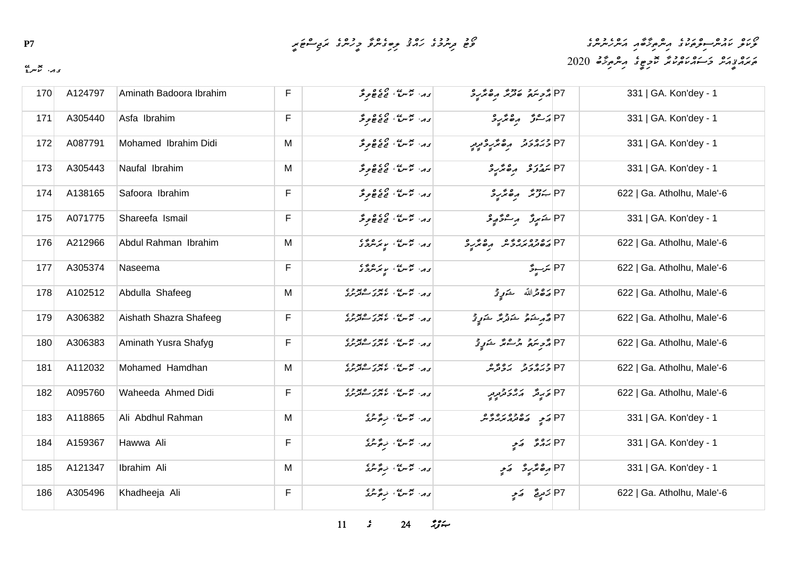*sCw7q7s5w7m< o<n9nOoAw7o< sCq;mAwBoEw7q<m; wBm;vB* م من المرة المرة المرة المرجع المرجع في المركبة 2020<br>مجم*د المريض المربوط المربع المرجع في المراجع المركبة* 

| 170 | A124797 | Aminath Badoora Ibrahim | F           | ى ئەستەر ئۇ قۇمۇ                                                                                                                                                                                                                | P7 مُجِسَعَةٍ مُقَمَّدٌ مِنْ مُجَرِّدٌ              | 331   GA. Kon'dey - 1      |
|-----|---------|-------------------------|-------------|---------------------------------------------------------------------------------------------------------------------------------------------------------------------------------------------------------------------------------|-----------------------------------------------------|----------------------------|
| 171 | A305440 | Asfa Ibrahim            | F           | <i>ى مەستى» مەھ</i> وگە                                                                                                                                                                                                         | P7 كەسىر ھەمگەر 2                                   | 331   GA. Kon'dey - 1      |
| 172 | A087791 | Mohamed Ibrahim Didi    | M           | كەن سىمىت ئەم ئەم ئى                                                                                                                                                                                                            | P7 <i>دې د ده</i> مر <i>ه مرگر</i> ومرمر<br>مرگ     | 331   GA. Kon'dey - 1      |
| 173 | A305443 | Naufal Ibrahim          | M           | ى مەسىپ، ئىق ھەرگە                                                                                                                                                                                                              | P7 يتم <i>مۇتى مەمگرى</i> تى                        | 331   GA. Kon'dey - 1      |
| 174 | A138165 | Safoora Ibrahim         | $\mathsf F$ | ى مەستەر ئەم ئەم ئۇ ئا                                                                                                                                                                                                          | P7 بىزىر مەمگرىبى                                   | 622   Ga. Atholhu, Male'-6 |
| 175 | A071775 | Shareefa Ismail         | $\mathsf F$ | ى مەسىئە ئەم ھەرگە                                                                                                                                                                                                              | P7 خىمپۇ بېرىشتۇپ <sub>ى</sub> تى                   | 331   GA. Kon'dey - 1      |
| 176 | A212966 | Abdul Rahman Ibrahim    | M           | ا دو. اس ده به سره ده وا                                                                                                                                                                                                        | P7 رەدەرەپەر مەترىر                                 | 622   Ga. Atholhu, Male'-6 |
| 177 | A305374 | Naseema                 | $\mathsf F$ | צון יש יש יש משפי                                                                                                                                                                                                               | P7 يترسونڅ                                          | 622   Ga. Atholhu, Male'-6 |
| 178 | A102512 | Abdulla Shafeeg         | M           | بر سمیت عدد میروه<br>براس سرد استری                                                                                                                                                                                             | P7 كەھەراللە شىموتى                                 | 622   Ga. Atholhu, Male'-6 |
| 179 | A306382 | Aishath Shazra Shafeeg  | F           | بر سر دی دی برد و د د د د د<br>براس کامل کامل کرد سوتر مرد                                                                                                                                                                      | P7 مَدْمِ شَمْعَى شَمْعْرَمَّدَ حَمَوٍ تَرْ         | 622   Ga. Atholhu, Male'-6 |
| 180 | A306383 | Aminath Yusra Shafyg    | $\mathsf F$ |                                                                                                                                                                                                                                 | P7 مٌ <i>جِ سَهْء</i> ِ مَرْ سْمَعَمْ ۖ سُورٍ تَحْ  | 622   Ga. Atholhu, Male'-6 |
| 181 | A112032 | Mohamed Hamdhan         | M           | ده به سرعه المحدد المعدود.<br>ده المسنى المعدى مستقرض                                                                                                                                                                           | P7 <i>ۋېزو دو پرو</i> ۇر                            | 622   Ga. Atholhu, Male'-6 |
| 182 | A095760 | Waheeda Ahmed Didi      | $\mathsf F$ | بر سی به سره برده ده در در در در در برده برد در برد که برده برد در این مورد در در این کار در در این کار در در<br>برای مورد برای کار در در این کار در در در این کار در در این کار در در این کار در در این کار در در این کار در د | P7  <i>وَ بِي</i> عَرُ <i>وَ بُرْدَ وَدْبِرِيرِ</i> | 622   Ga. Atholhu, Male'-6 |
| 183 | A118865 | Ali Abdhul Rahman       | M           | ى مەستى» بەھ سرى                                                                                                                                                                                                                | P7 <i>مَجِ مَعْتَمَدِ مَدَوَّسَ</i>                 | 331   GA. Kon'dey - 1      |
| 184 | A159367 | Hawwa Ali               | F           | ى ئەستى» بەھ سى                                                                                                                                                                                                                 | P7 يَرْدُوَّ کَمَ مِي                               | 331   GA. Kon'dey - 1      |
| 185 | A121347 | Ibrahim Ali             | M           | ى مەستى» بەھ سرى                                                                                                                                                                                                                | P7 <sub>مر</sub> ھ پڙرو ھي ج                        | 331   GA. Kon'dey - 1      |
| 186 | A305496 | Khadheeja Ali           | F           | ى دى. ئۇسۇ، ئەھمىرى                                                                                                                                                                                                             | P7 كَمَعٍيضٍ مَعَ مِي                               | 622   Ga. Atholhu, Male'-6 |

 $11$  *s* 24  $29$   $\leftarrow$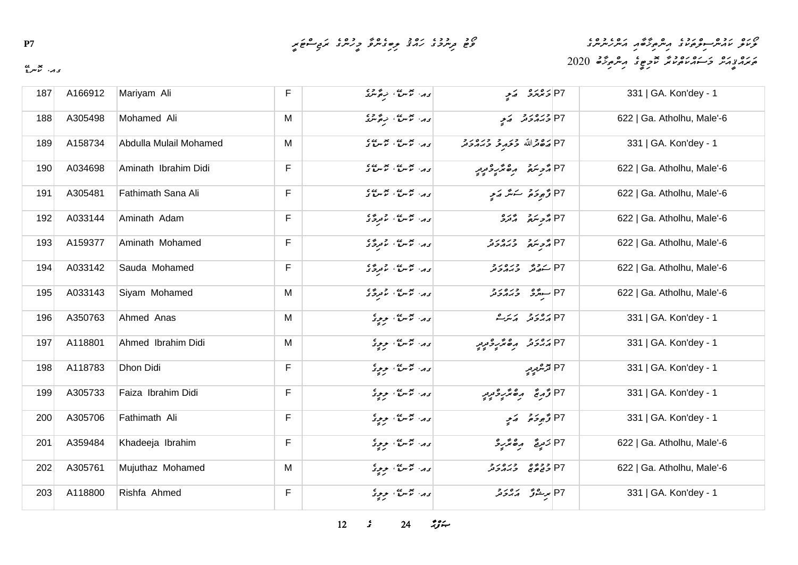*sCw7q7s5w7m< o<n9nOoAw7o< sCq;mAwBoEw7q<m; wBm;vB* م من المرة المرة المرة المرجع المرجع في المركبة 2020<br>مجم*د المريض المربوط المربع المرجع في المراجع المركبة* 

| 187 | A166912 | Mariyam Ali            | F           | ى ئەستۇ، ئەھمى                                                                                                                                                                                                                                                                                                      | P7 <i>وَ بُرْمَرْ وَ مَ</i> حِ                           | 331   GA. Kon'dey - 1      |
|-----|---------|------------------------|-------------|---------------------------------------------------------------------------------------------------------------------------------------------------------------------------------------------------------------------------------------------------------------------------------------------------------------------|----------------------------------------------------------|----------------------------|
| 188 | A305498 | Mohamed Ali            | M           | ى ئەستەت ئەۋسى                                                                                                                                                                                                                                                                                                      | P7 دېږور <sub>مکم</sub>                                  | 622   Ga. Atholhu, Male'-6 |
| 189 | A158734 | Abdulla Mulail Mohamed | M           | $\frac{1}{2}$ $\frac{1}{2}$ $\frac{1}{2}$ $\frac{1}{2}$ $\frac{1}{2}$ $\frac{1}{2}$ $\frac{1}{2}$ $\frac{1}{2}$ $\frac{1}{2}$ $\frac{1}{2}$ $\frac{1}{2}$ $\frac{1}{2}$ $\frac{1}{2}$ $\frac{1}{2}$ $\frac{1}{2}$ $\frac{1}{2}$ $\frac{1}{2}$ $\frac{1}{2}$ $\frac{1}{2}$ $\frac{1}{2}$ $\frac{1}{2}$ $\frac{1}{2}$ | P7 رَحْمَدُاللّه وْحَمِهِ وْمِرْدْ وْمَارْدْ             | 331   GA. Kon'dey - 1      |
| 190 | A034698 | Aminath Ibrahim Didi   | $\mathsf F$ | $\frac{1}{2}$ $\frac{1}{2}$ $\frac{1}{2}$ $\frac{1}{2}$ $\frac{1}{2}$ $\frac{1}{2}$ $\frac{1}{2}$ $\frac{1}{2}$ $\frac{1}{2}$ $\frac{1}{2}$ $\frac{1}{2}$ $\frac{1}{2}$ $\frac{1}{2}$ $\frac{1}{2}$ $\frac{1}{2}$ $\frac{1}{2}$ $\frac{1}{2}$ $\frac{1}{2}$ $\frac{1}{2}$ $\frac{1}{2}$ $\frac{1}{2}$ $\frac{1}{2}$ | P7 مُحرِسَمُ مِنْ مُحَمَّدٍ وَمِنْدِ                     | 622   Ga. Atholhu, Male'-6 |
| 191 | A305481 | Fathimath Sana Ali     | F           | $\frac{1}{2}$ $\frac{1}{2}$ $\frac{1}{2}$ $\frac{1}{2}$ $\frac{1}{2}$ $\frac{1}{2}$ $\frac{1}{2}$ $\frac{1}{2}$ $\frac{1}{2}$ $\frac{1}{2}$ $\frac{1}{2}$ $\frac{1}{2}$ $\frac{1}{2}$ $\frac{1}{2}$ $\frac{1}{2}$ $\frac{1}{2}$ $\frac{1}{2}$ $\frac{1}{2}$ $\frac{1}{2}$ $\frac{1}{2}$ $\frac{1}{2}$ $\frac{1}{2}$ | P7 <i>وُجودَهْ سَنَرَّ مَ</i> عِ                         | 622   Ga. Atholhu, Male'-6 |
| 192 | A033144 | Aminath Adam           | F           | ى مەستۇ، بولۇي                                                                                                                                                                                                                                                                                                      | P7 مُجِ سَمَعَ مُحَمَّدَ                                 | 622   Ga. Atholhu, Male'-6 |
| 193 | A159377 | Aminath Mohamed        | F           | ى دىستىس ئەستىرى ئ                                                                                                                                                                                                                                                                                                  | P7 مُجِسَعُ حَمَدُ وَمَ                                  | 622   Ga. Atholhu, Male'-6 |
| 194 | A033142 | Sauda Mohamed          | F           | ى مەستىستى، ئەترىكى                                                                                                                                                                                                                                                                                                 | P7 شهرش وره د و                                          | 622   Ga. Atholhu, Male'-6 |
| 195 | A033143 | Siyam Mohamed          | M           | ى مەستىرى، ئەرگەن                                                                                                                                                                                                                                                                                                   | P7 سوگر وبره د و                                         | 622   Ga. Atholhu, Male'-6 |
| 196 | A350763 | Ahmed Anas             | M           | ىدا ئىمىگا مودى                                                                                                                                                                                                                                                                                                     | P7 كەندى كەنگەشى                                         | 331   GA. Kon'dey - 1      |
| 197 | A118801 | Ahmed Ibrahim Didi     | ${\sf M}$   | ىدا ئەستا بودى                                                                                                                                                                                                                                                                                                      | P7 <i>ג د ده مره مرد و بر</i> مر                         | 331   GA. Kon'dey - 1      |
| 198 | A118783 | Dhon Didi              | F           | ىدا ئىمىگە مودى                                                                                                                                                                                                                                                                                                     | P7 قرير م <sub>ير مير</sub>                              | 331   GA. Kon'dey - 1      |
| 199 | A305733 | Faiza Ibrahim Didi     | F           | ىد. ئەس» مەدە                                                                                                                                                                                                                                                                                                       | P7 <i>وَ<sub>ّم</sub>يعُ م</i> ِ ھ <i>ُنَّرٍ وُمِيرِ</i> | 331   GA. Kon'dey - 1      |
| 200 | A305706 | Fathimath Ali          | F           | ىدا ئەستا بودى                                                                                                                                                                                                                                                                                                      | P7 <i>وُّجوحَ</i> هُمَ مَسَ                              | 331   GA. Kon'dey - 1      |
| 201 | A359484 | Khadeeja Ibrahim       | F           | ىدا ئىم مى، جەجەنى                                                                                                                                                                                                                                                                                                  | P7 زَمِرِيحَ مِنْ صُرَّرِ وَ                             | 622   Ga. Atholhu, Male'-6 |
| 202 | A305761 | Mujuthaz Mohamed       | ${\sf M}$   | ىدا ئىم مى، جەجەنى                                                                                                                                                                                                                                                                                                  | P7 وووه وره دور                                          | 622   Ga. Atholhu, Male'-6 |
| 203 | A118800 | Rishfa Ahmed           | F           | ىد . ئەس» بورى                                                                                                                                                                                                                                                                                                      | P7 مرڪز <i>پردونر</i>                                    | 331   GA. Kon'dey - 1      |

 $12$  *s* 24  $29$   $\leftarrow$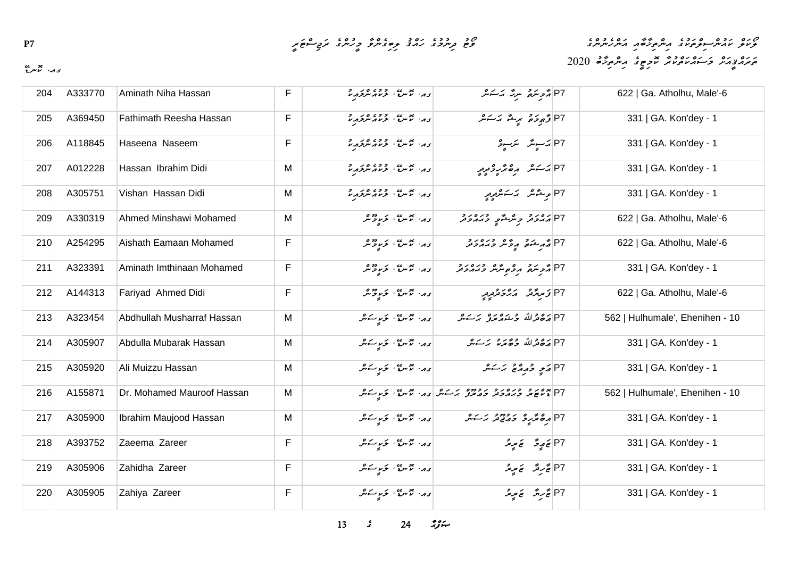*sCw7q7s5w7m< o<n9nOoAw7o< sCq;mAwBoEw7q<m; wBm;vB* م من المسجد المسجد المسجد المسجد المسجد العام 2020<br>مسجد المسجد المسجد المسجد المسجد المسجد المسجد المسجد المسجد ال

| 204 | A333770 | Aminath Niha Hassan        | F           | ى سىمى» مەدەبەر         | P7 مٌ <i>وِ مَرَةٌ</i> مِرَدٌ بَرَ سَ <i>مَ</i> سٌ    | 622   Ga. Atholhu, Male'-6      |
|-----|---------|----------------------------|-------------|-------------------------|-------------------------------------------------------|---------------------------------|
| 205 | A369450 | Fathimath Reesha Hassan    | F           | ى سىمى» مەرەبىر         | P7 <i>وَّجودَهُ</i> بِرِ؎َّہُ بَرَسَسُ                | 331   GA. Kon'dey - 1           |
| 206 | A118845 | Haseena Naseem             | F           | ورسمس ووءه در           | P7   پرَسوش سَرَسوڤر                                  | 331   GA. Kon'dey - 1           |
| 207 | A012228 | Hassan Ibrahim Didi        | M           | ىماسىم ئەستە ئەرەپ ئەر  | P7 ئەسەش بەھ ئ <i>ۇر ۋ</i> ېرىر                       | 331   GA. Kon'dey - 1           |
| 208 | A305751 | Vishan Hassan Didi         | M           | ى سىمى ئەرەبەر د        | P7 مِنْتَمْسْ بْرَسْسْمْدِيرِ                         | 331   GA. Kon'dey - 1           |
| 209 | A330319 | Ahmed Minshawi Mohamed     | M           | ى ئەستۇ، ئۇرومۇ         | P7 ג' <i>و د و بر شو و د و د و د</i>                  | 622   Ga. Atholhu, Male'-6      |
| 210 | A254295 | Aishath Eamaan Mohamed     | F           | ى ئەستەت ئۇرومۇ         | P7 مُمبِّسَمَ مِعَہ مِحْسَرِ وَبَرَمُ وَلَا           | 622   Ga. Atholhu, Male'-6      |
| 211 | A323391 | Aminath Imthinaan Mohamed  | $\mathsf F$ | ى ئەستۇ، ئۇرۇش          | P7 مُتَّحِسُمُ مُتَّحَمٍ مُرْمَّرٍ وَبَرْمَرَ مَرَ    | 331   GA. Kon'dey - 1           |
| 212 | A144313 | Fariyad Ahmed Didi         | $\mathsf F$ | ى ئەستان ئويدە          | P7 كۆمپەترى كەرگە ئەتەبىرىس                           | 622   Ga. Atholhu, Male'-6      |
| 213 | A323454 | Abdhullah Musharraf Hassan | M           | ا دەر، ئاسق، ئۇرىسكەنلە | P7 كَ حَدَّاللَّهُ وَ شَوَرْ مَرْوْ بَرْ سَرْشْ       | 562   Hulhumale', Ehenihen - 10 |
| 214 | A305907 | Abdulla Mubarak Hassan     | M           | ى ئەستىن، ئۇرىسىگە      | P7  رَحْمَدْاللّه حْقَّتْرَة بْرَسْمَدْ               | 331   GA. Kon'dey - 1           |
| 215 | A305920 | Ali Muizzu Hassan          | M           | ى مەستىن، ئۇرىسىگە      | P7 <i>ھَ۔ جو م</i> ُگھ برڪش                           | 331   GA. Kon'dey - 1           |
| 216 | A155871 | Dr. Mohamed Mauroof Hassan | M           |                         | $P7$ مع می در در در در در در در در در در معرفی کردند. | 562   Hulhumale', Ehenihen - 10 |
| 217 | A305900 | Ibrahim Maujood Hassan     | M           | ا دە، ئاسقا، ئۇرىسكەش   | P7 مەھەرىپ ئەمەدە بەر يەھ                             | 331   GA. Kon'dey - 1           |
| 218 | A393752 | Zaeema Zareer              | F           | ى ئەستىن، ئۇرىسىگىر     | P7 يَهِ وَّ بَي مِرْ مَرَ                             | 331   GA. Kon'dey - 1           |
| 219 | A305906 | Zahidha Zareer             | F           | ىدا ئەسگا ئۇرىسكەش      | P7 تج برقد تج مریمه                                   | 331   GA. Kon'dey - 1           |
| 220 | A305905 | Zahiya Zareer              | F           | ى يەر ئەس ئەربىسى ئەسىر | P7 تج په تم په تم                                     | 331   GA. Kon'dey - 1           |

 $13$  *s* 24  $29$   $\rightarrow$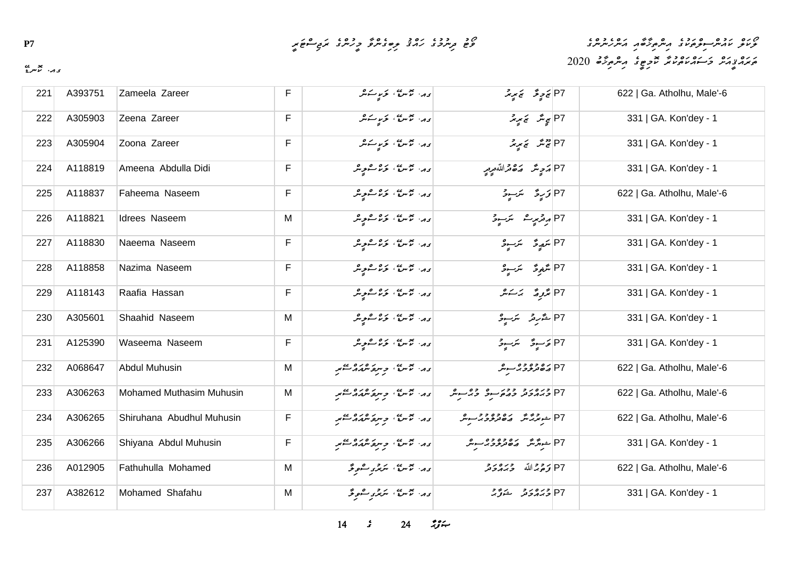*sCw7q7s5w7m< o<n9nOoAw7o< sCq;mAwBoEw7q<m; wBm;vB* م من المرة المرة المرة المرجع المرجع في المركبة 2020<br>مجم*د المريض المربوط المربع المرجع في المراجع المركبة* 

| 221 | A393751 | Zameela Zareer                  | F           | ى ئەستۇرى ئۇرىسىگە         | P7 ک <sup>ے</sup> پر کش کے بیرنگر                                      | 622   Ga. Atholhu, Male'-6 |
|-----|---------|---------------------------------|-------------|----------------------------|------------------------------------------------------------------------|----------------------------|
| 222 | A305903 | Zeena Zareer                    | F           | ى مەستان ئۇرىسىگە          | P7 <sub>مج</sub> يٹر نج مریٹر                                          | 331   GA. Kon'dey - 1      |
| 223 | A305904 | Zoona Zareer                    | F           | ىم ئەستا، ئۇرىسىگە         | P7 تھ بھ تھ ہو پر                                                      | 331   GA. Kon'dey - 1      |
| 224 | A118819 | Ameena Abdulla Didi             | $\mathsf F$ | ىدا ئىسقا ئۇراشمۇش         | P7 كەچ ئىگە كەنھەتداللەمپرىي <sub>ر</sub>                              | 331   GA. Kon'dey - 1      |
| 225 | A118837 | Faheema Naseem                  | F           | ى ئەرىمى ئەرەپ كەن ئايدىن  | P7 تۇرپۇ سىمبەتى                                                       | 622   Ga. Atholhu, Male'-6 |
| 226 | A118821 | Idrees Naseem                   | M           | ىدا ئىسقا ئۇراشمۇش         | P7 م <sub>و</sub> مزمرے مترجو                                          | 331   GA. Kon'dey - 1      |
| 227 | A118830 | Naeema Naseem                   | F           | ى يەر ئەس ئەرەب كەر بىر    | P7 سَمِيعٌ سَرَسِيعٌ                                                   | 331   GA. Kon'dey - 1      |
| 228 | A118858 | Nazima Naseem                   | $\mathsf F$ | ى ئەستەرە ئەرەب ھەر ئايلار | P7 سَّمَٰوِدَ سَرَسٍوْ                                                 | 331   GA. Kon'dey - 1      |
| 229 | A118143 | Raafia Hassan                   | F           | ى ئەستى» ئەھمىسى ئەھمى     | P7 بَرُوِ بَرَ بَرَ بَرْ بِرَ بِرِ                                     | 331   GA. Kon'dey - 1      |
| 230 | A305601 | Shaahid Naseem                  | M           | ى مەستى» بەھ شەھەر         | P7 شمریز س <i>ر ہو</i> ئے                                              | 331   GA. Kon'dey - 1      |
| 231 | A125390 | Waseema Naseem                  | F           | ى يەر ئەس ئەرەب كەر بىر    | P7   ق سودٌ - مَرَسودٌ -                                               | 331   GA. Kon'dey - 1      |
| 232 | A068647 | <b>Abdul Muhusin</b>            | M           | ورستمن وسوسم المعالج       | P7 مەھىر <i>ۋە ج</i> ەر بىر                                            | 622   Ga. Atholhu, Male'-6 |
| 233 | A306263 | <b>Mohamed Muthasim Muhusin</b> | M           | ورستمن وسوسمه              | P7 دره دو دور ده دو سره                                                | 622   Ga. Atholhu, Male'-6 |
| 234 | A306265 | Shiruhana Abudhul Muhusin       | F           | ورسم سي وسع سمده من        | P7 شو <i>برند می م</i> وجود در میر<br>P7 شو <i>برند می</i> مورد در سوش | 622   Ga. Atholhu, Male'-6 |
| 235 | A306266 | Shiyana Abdul Muhusin           | F           | ورستمن وسوسهم              | P7 شوپژنٹر م <i>مقتر فرح بر س</i> وپٹر                                 | 331   GA. Kon'dey - 1      |
| 236 | A012905 | Fathuhulla Mohamed              | M           | ى مەستىن، ئىرىزى سورىگر    | P7 وَحْدَاللّه وَبَرْدُونَدِ                                           | 622   Ga. Atholhu, Male'-6 |
| 237 | A382612 | Mohamed Shafahu                 | M           | ى مەستىن، ئىرىزى سورىتى    | P7 <i>ۋېزودتى خۇرق</i>                                                 | 331   GA. Kon'dey - 1      |

*14 sC 24 nNw?mS*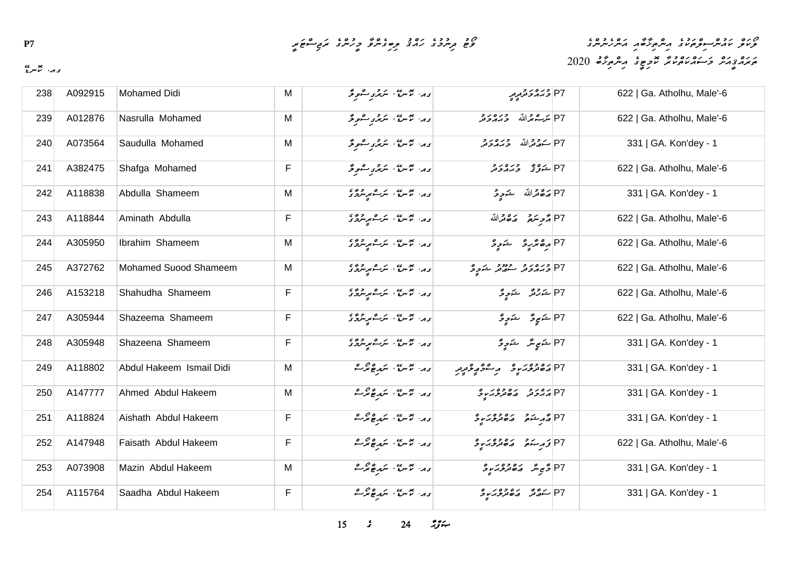*sCw7q7s5w7m< o<n9nOoAw7o< sCq;mAwBoEw7q<m; wBm;vB* م من المرة المرة المرة المرجع المرجع في المركبة 2020<br>مجم*د المريض المربوط المربع المرجع في المراجع المركبة* 

| 238 | A092915 | Mohamed Didi             | M           | ى مەستى، ئىرىرى سورى                                                                                                                                                                                  | P7 <i>وُبَرُوْدُوَ</i> تْرْمِرِيْرِ                                                         | 622   Ga. Atholhu, Male'-6 |
|-----|---------|--------------------------|-------------|-------------------------------------------------------------------------------------------------------------------------------------------------------------------------------------------------------|---------------------------------------------------------------------------------------------|----------------------------|
| 239 | A012876 | Nasrulla Mohamed         | M           | ى مەستى» سىرتىرى سىرە ئىچ                                                                                                                                                                             | P7 سَرَبِ مِرَّاللَّهُ وَبَرُودِ مَرْ                                                       | 622   Ga. Atholhu, Male'-6 |
| 240 | A073564 | Saudulla Mohamed         | M           | ى مەستى، ئىبرىي سورى                                                                                                                                                                                  | P7 كەمەمراللە <i>مەم</i> ەرىر                                                               | 331   GA. Kon'dey - 1      |
| 241 | A382475 | Shafga Mohamed           | F           | ى مەستى» سىرتىرى سىرەنتى                                                                                                                                                                              | P7 شۇقۇ <i>مەمەدىر</i>                                                                      | 622   Ga. Atholhu, Male'-6 |
| 242 | A118838 | Abdulla Shameem          | M           | ورستمس المتركب ومع                                                                                                                                                                                    | P7 مَەھْتَرَاللَّه شَوَوْتَر                                                                | 331   GA. Kon'dey - 1      |
| 243 | A118844 | Aminath Abdulla          | $\mathsf F$ | ى مەستى ئەسكە ئەسىر سرچ ئ                                                                                                                                                                             | P7 مَّحِسَمَ مَصْعَداللَّه                                                                  | 622   Ga. Atholhu, Male'-6 |
| 244 | A305950 | Ibrahim Shameem          | M           | ى مەستى ئەسكە ئەسىر سرچ ئ                                                                                                                                                                             | P7 م <i>ەھترى</i> ھەر ئىكتىن كىلىن بىر ئىكتار ئىكتار ئىكتار ئىكتار ئىكتار ئىكتار ئىكتار كىل | 622   Ga. Atholhu, Male'-6 |
| 245 | A372762 | Mohamed Suood Shameem    | M           | ى مەستى» سەھىر سىزدە                                                                                                                                                                                  | P7 ويرور و معدود خور                                                                        | 622   Ga. Atholhu, Male'-6 |
| 246 | A153218 | Shahudha Shameem         | F           | ى ئەستىمى» سىر شىر سىردى                                                                                                                                                                              | P7 شەرقە شەرە                                                                               | 622   Ga. Atholhu, Male'-6 |
| 247 | A305944 | Shazeema Shameem         | F           | ى مەستى» سىر شەھر سىردى                                                                                                                                                                               | P7 شەپى شەرە                                                                                | 622   Ga. Atholhu, Male'-6 |
| 248 | A305948 | Shazeena Shameem         | $\mathsf F$ | ى ئەستىمى» سىر شەھىر سىرى ئ                                                                                                                                                                           | P7 ڪ <sub>ي</sub> م گرو گر                                                                  | 331   GA. Kon'dey - 1      |
| 249 | A118802 | Abdul Hakeem Ismail Didi | M           | 15 مىل ئۇن ئىر ھىرگ                                                                                                                                                                                   | P7 <i>مەھەبەرە مەمۇم</i> ومىد                                                               | 331   GA. Kon'dey - 1      |
| 250 | A147777 | Ahmed Abdul Hakeem       | M           | ىد ئىس ئىس ھىر                                                                                                                                                                                        | P7 גُرُونَ مُصْرَبِّ دِهِ وَمِنْ مِنْ د                                                     | 331   GA. Kon'dey - 1      |
| 251 | A118824 | Aishath Abdul Hakeem     | $\mathsf F$ | ى مەستى» سەھىر شەھ                                                                                                                                                                                    | P7 مەم شەھ مەھەر <i>ۋە ي</i> رى                                                             | 331   GA. Kon'dey - 1      |
| 252 | A147948 | Faisath Abdul Hakeem     | $\mathsf F$ | $\mathcal{L}_{\mathcal{A}}^{\mathcal{A}}\mathcal{L}_{\mathcal{A}}^{\mathcal{B}}\mathcal{L}_{\mathcal{A}}^{\mathcal{B}}\mathcal{L}_{\mathcal{A}}^{\mathcal{B}}\mathcal{L}_{\mathcal{A}}^{\mathcal{B}}$ | P7 <i>قەبىنى مەھىرى بى</i>                                                                  | 622   Ga. Atholhu, Male'-6 |
| 253 | A073908 | Mazin Abdul Hakeem       | M           |                                                                                                                                                                                                       | P7 <i>ۇي شەھەر دەرى</i> ر ۋ                                                                 | 331   GA. Kon'dey - 1      |
| 254 | A115764 | Saadha Abdul Hakeem      | F           | ىد ئىستى، ئىرەم قى                                                                                                                                                                                    | P7 شەمگە مەھەر <i>وم</i> ەر 9                                                               | 331   GA. Kon'dey - 1      |

 $15$  *s* 24  $29$   $\rightarrow$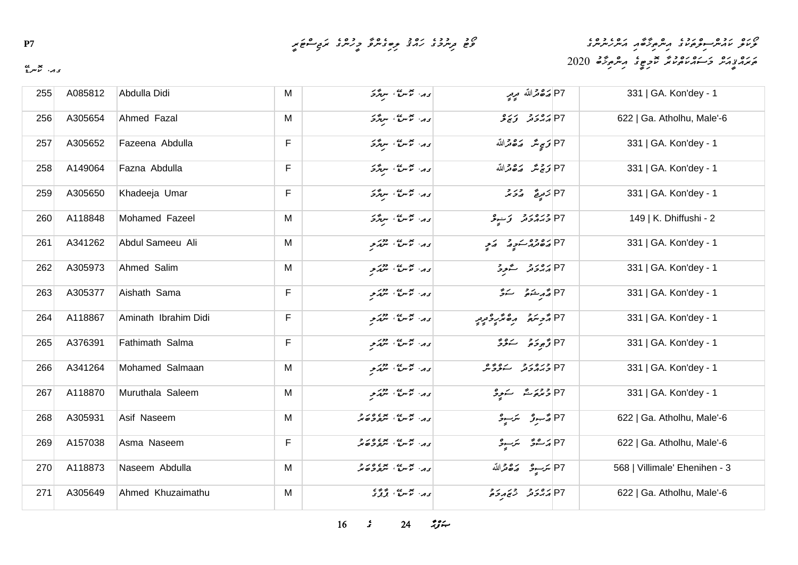*sCw7q7s5w7m< o<n9nOoAw7o< sCq;mAwBoEw7q<m; wBm;vB* م من المسجد المسجد المسجد المسجد المسجد العام 2020<br>مسجد المسجد المسجد المسجد المسجد المسجد المسجد المسجد المسجد ال

| 255 | A085812 | Abdulla Didi         | M           | $5\overset{<}{\mathcal{M}}$ $\mathcal{M}$ $\overset{<}{\mathcal{M}}$ $\overset{<}{\mathcal{M}}$             | P7 #چەقمەللە مېيىي                   | 331   GA. Kon'dey - 1         |
|-----|---------|----------------------|-------------|-------------------------------------------------------------------------------------------------------------|--------------------------------------|-------------------------------|
| 256 | A305654 | Ahmed Fazal          | M           | ى ئەستىرى، سىدى                                                                                             | P7 <i>ړېږي وَچ</i>                   | 622   Ga. Atholhu, Male'-6    |
| 257 | A305652 | Fazeena Abdulla      | $\mathsf F$ | ورستمس سردة                                                                                                 | P7 قرىپەنتر   ئەھەتراللە             | 331   GA. Kon'dey - 1         |
| 258 | A149064 | Fazna Abdulla        | $\mathsf F$ | $\overleftrightarrow{z}_{\mathcal{N}}^{\mathcal{S}}$ , $\overleftrightarrow{w}_{\mathcal{N}}^{\mathcal{S}}$ | P7 وَتَج مَّرَ صَصْحَرْاللَّه        | 331   GA. Kon'dey - 1         |
| 259 | A305650 | Khadeeja Umar        | F           | $\overleftrightarrow{z}_{\mathcal{M}}^{\mathcal{S}}$ , $\overleftrightarrow{w}_{\mathcal{M}}^{\mathcal{S}}$ | P7   دَمرِيحَ   ارْدَ بْرُ           | 331   GA. Kon'dey - 1         |
| 260 | A118848 | Mohamed Fazeel       | M           | ورستمس سرگز                                                                                                 | P7  <i>3223 ق ق نيو</i> نۇ           | 149   K. Dhiffushi - 2        |
| 261 | A341262 | Abdul Sameeu Ali     | M           | ى مەستورى ھەم                                                                                               | P7 ב <i>ەدە شېرە</i> مەير            | 331   GA. Kon'dey - 1         |
| 262 | A305973 | Ahmed Salim          | M           | ى مەستى» شەھر                                                                                               | P7 <i>ډُرونو گو</i> و                | 331   GA. Kon'dey - 1         |
| 263 | A305377 | Aishath Sama         | F           | ى مەستى» ھەم                                                                                                | P7 مەمبەھ سىۋ                        | 331   GA. Kon'dey - 1         |
| 264 | A118867 | Aminath Ibrahim Didi | $\mathsf F$ | ى مەستورى ھەم                                                                                               | P7 مُحرِسَمُ مِنْ مُحَمَّدٍ وَمِعْدِ | 331   GA. Kon'dey - 1         |
| 265 | A376391 | Fathimath Salma      | $\mathsf F$ | ى مەستى» شەھر                                                                                               | P7 <i>وُجِعَة سَعُوَّةُ</i>          | 331   GA. Kon'dey - 1         |
| 266 | A341264 | Mohamed Salmaan      | M           | ى مەستى» ھەم                                                                                                | P7 در دور دومبر دومبر                | 331   GA. Kon'dey - 1         |
| 267 | A118870 | Muruthala Saleem     | M           | وربع سيء معدم                                                                                               | P7  دېمىمىت سەرە                     | 331   GA. Kon'dey - 1         |
| 268 | A305931 | Asif Naseem          | M           | $77007$<br>$7007$                                                                                           | P7 م <i>ەجبوق مەجب</i> و             | 622   Ga. Atholhu, Male'-6    |
| 269 | A157038 | Asma Naseem          | F           | ى بەستە، سەرەبەد                                                                                            | P7   پُرسُونٌ سَرَبِ وفر             | 622   Ga. Atholhu, Male'-6    |
| 270 | A118873 | Naseem Abdulla       | M           | ی میں میں دورو                                                                                              | P7 <del>مَرْ</del> سِوڤ 25هرالله     | 568   Villimale' Ehenihen - 3 |
| 271 | A305649 | Ahmed Khuzaimathu    | M           | ى دىستى ئۆزى                                                                                                | P7 <i>ב بروتر تي م و قو</i>          | 622   Ga. Atholhu, Male'-6    |

 $16$  *s* 24  $29$   $\div$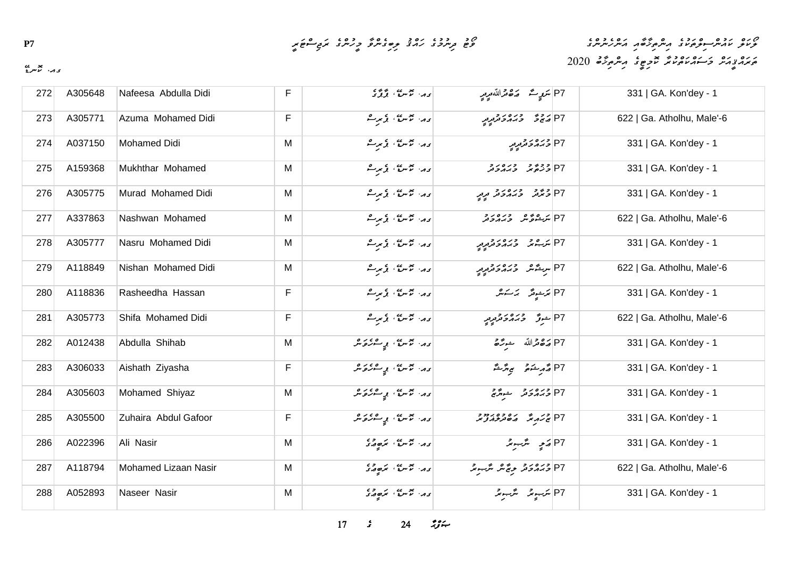*sCw7q7s5w7m< o<n9nOoAw7o< sCq;mAwBoEw7q<m; wBm;vB* م من المسجد المسجد المسجد المسجد المسجد العام 2020<br>مسجد المسجد المسجد المسجد المسجد المسجد المسجد المسجد المسجد ال

| 272 | A305648 | Nafeesa Abdulla Didi | F           | ى مەستىسى» بۇ بۇ ئ                                                  | P7 سَمَعٍ مُحَمَّد مَدَّة اللَّهُ مِرْمَدٍ                                                          | 331   GA. Kon'dey - 1      |
|-----|---------|----------------------|-------------|---------------------------------------------------------------------|-----------------------------------------------------------------------------------------------------|----------------------------|
| 273 | A305771 | Azuma Mohamed Didi   | $\mathsf F$ | ا دەر، ئۆس <sup>ى،</sup> بۇ بىرىش                                   | P7 كەنجۇ <i>مەدەھەتەپەي</i> ر                                                                       | 622   Ga. Atholhu, Male'-6 |
| 274 | A037150 | Mohamed Didi         | M           | ى مەستىستى، ئۇ ئېرىش                                                | P7 د <i>جر د د تر</i> تر تر                                                                         | 331   GA. Kon'dey - 1      |
| 275 | A159368 | Mukhthar Mohamed     | M           | ا دەر، ئېتىن ئېچ ئېرىشى                                             | P7 در دور در در د                                                                                   | 331   GA. Kon'dey - 1      |
| 276 | A305775 | Murad Mohamed Didi   | M           | ا دەر، ئېتىن ئارىم يېتىش                                            | P7 وُ پُرُو مُحدِّدٍ مِرِ مِنْ مِنْ اللَّهِ بِهِ مِنْ اللَّهِ مِنْ اللَّهِ بِهِ مِنْ اللَّهِ مِنْ ا | 331   GA. Kon'dey - 1      |
| 277 | A337863 | Nashwan Mohamed      | M           | ا دەر، ئۆس <sup>ى،</sup> بۇ بىرگ                                    | P7 سَرْڪُوش ويرورو                                                                                  | 622   Ga. Atholhu, Male'-6 |
| 278 | A305777 | Nasru Mohamed Didi   | M           | ى مەستۇرى ئىم يىل                                                   | P7 سَرَجْتُمْ وَيَرْدُونْدِيْرِيْرِ                                                                 | 331   GA. Kon'dey - 1      |
| 279 | A118849 | Nishan Mohamed Didi  | M           | ا دەر، ئۆستا، بۇ ئېرىش                                              | P7 سرشگس <i>و پرو</i> رو ترتوپو                                                                     | 622   Ga. Atholhu, Male'-6 |
| 280 | A118836 | Rasheedha Hassan     | $\mathsf F$ | ا دە، ئۇسۇ، بۇ برگ                                                  | P7 بَرَجونَز - بَرَ <i>سَ</i> سُرَ                                                                  | 331   GA. Kon'dey - 1      |
| 281 | A305773 | Shifa Mohamed Didi   | F           | ى مەستىرى، ئۇ بىر شە                                                | P7 جو <i>ڙ ويرو و</i> تربربر                                                                        | 622   Ga. Atholhu, Male'-6 |
| 282 | A012438 | Abdulla Shihab       | M           | ىما ئىم يە ئەرەبىر ھ                                                | P7 مَرْحْمَّدْاللَّهُ شَوَرَّحْ                                                                     | 331   GA. Kon'dey - 1      |
| 283 | A306033 | Aishath Ziyasha      | F           | ى ئەستى» ب <sub>و</sub> سىرە ئىر                                    | P7 مُرمِسُومُ بِمِتَرْسُمُ                                                                          | 331   GA. Kon'dey - 1      |
| 284 | A305603 | Mohamed Shiyaz       | M           | ىم سىم يىش بوسىدە ئىر                                               | P7 <i>و پرو دو</i> شورځ چ                                                                           | 331   GA. Kon'dey - 1      |
| 285 | A305500 | Zuhaira Abdul Gafoor | $\mathsf F$ | ا دە، ئاسق، ب <sub>و</sub> سترەتىر                                  | P7 يې ته پره ده ده د د                                                                              | 331   GA. Kon'dey - 1      |
| 286 | A022396 | Ali Nasir            | M           | $5.901$ $0.707$ $0.35$                                              | P7 <i>ھو</i> مگسوم                                                                                  | 331   GA. Kon'dey - 1      |
| 287 | A118794 | Mohamed Lizaan Nasir | M           | $\begin{bmatrix} 1 & 0 & 0 \\ 0 & 0 & 0 \\ 0 & 0 & 0 \end{bmatrix}$ | P7 <i>وبرورو بوغ مر مرتب</i> ونز                                                                    | 622   Ga. Atholhu, Male'-6 |
| 288 | A052893 | Naseer Nasir         | M           | $5.901$ $x^2$                                                       | P7 مَرْسِوِيْر - مُرْسِوِيْرُ                                                                       | 331   GA. Kon'dey - 1      |

 $17$  *s* 24  $29$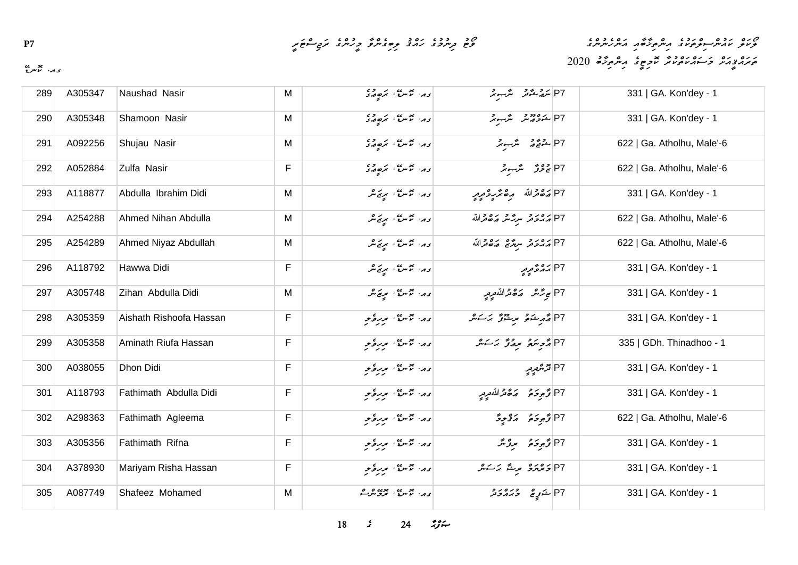*sCw7q7s5w7m< o<n9nOoAw7o< sCq;mAwBoEw7q<m; wBm;vB* م من المرة المرة المرة المرجع المرجع في المركبة 2020<br>مجم*د المريض المربوط المربع المرجع في المراجع المركبة* 

| 289 | A305347 | Naushad Nasir           | M           | $\overrightarrow{AB}$                                                                                                                              | P7 سَمَ <i>مْ</i> شَمَّعْرُ مُحَسِّد مِرْ              | 331   GA. Kon'dey - 1      |
|-----|---------|-------------------------|-------------|----------------------------------------------------------------------------------------------------------------------------------------------------|--------------------------------------------------------|----------------------------|
| 290 | A305348 | Shamoon Nasir           | M           | $\overrightarrow{c}_{\mathcal{A}}^{\mathcal{B}}$ $\overrightarrow{c}_{\mathcal{A}}^{\mathcal{B}}$ $\overrightarrow{c}_{\mathcal{A}}^{\mathcal{B}}$ | P7 شۇھەتمە ئىگە يىلىمە                                 | 331   GA. Kon'dey - 1      |
| 291 | A092256 | Shujau Nasir            | M           | $\overrightarrow{c}_{\mathcal{A}}^{\mathcal{B}}$ $\overrightarrow{c}_{\mathcal{A}}^{\mathcal{B}}$ $\overrightarrow{c}_{\mathcal{A}}^{\mathcal{B}}$ | P7 شۇق <sub>ە</sub> م مەسىرىمە                         | 622   Ga. Atholhu, Male'-6 |
| 292 | A052884 | Zulfa Nasir             | $\mathsf F$ | $5.900 \times 10^{12}$ $1.15$                                                                                                                      | P7 ىچ قۇ ئىسىدىگى بىر                                  | 622   Ga. Atholhu, Male'-6 |
| 293 | A118877 | Abdulla Ibrahim Didi    | M           | ى مەسىم سۇء سىي ش                                                                                                                                  | P7 مَەھەراللە مەھەردىرىدىر                             | 331   GA. Kon'dey - 1      |
| 294 | A254288 | Ahmed Nihan Abdulla     | M           | ى مەسىم سۇ، سېرى بىر                                                                                                                               | P7 <i>مَدْدْدَ</i> تْر سِر <i>َدْتْر مَ</i> صْرَاللَّه | 622   Ga. Atholhu, Male'-6 |
| 295 | A254289 | Ahmed Niyaz Abdullah    | M           | ىد. ئېمىن، بېرىمىر                                                                                                                                 | P7 <i>בُ.چُرْ جَرْ جُرُّجْ جُ</i> هُ قُرَاللَّهُ       | 622   Ga. Atholhu, Male'-6 |
| 296 | A118792 | Hawwa Didi              | F           | ى مەستۇرى بىرى بىر                                                                                                                                 | P7   بَرْتُرُ وَّمِرِيرِ                               | 331   GA. Kon'dey - 1      |
| 297 | A305748 | Zihan Abdulla Didi      | M           | ى مەستۇرى بېرى بىر                                                                                                                                 | P7 نو شهر محمد الله مرمرٍ                              | 331   GA. Kon'dey - 1      |
| 298 | A305359 | Aishath Rishoofa Hassan | $\mathsf F$ | در، نژمینی، بررهٔ دِ                                                                                                                               | P7 مەم شەھ بېرىشتۇ برسەش                               | 331   GA. Kon'dey - 1      |
| 299 | A305358 | Aminath Riufa Hassan    | $\mathsf F$ | ى دىكى ئىل ئىل ئىل ئىل                                                                                                                             | P7 مَّ حِ سَمَّى سِمْدُنَّ سَـَ سَسْر                  | 335   GDh. Thinadhoo - 1   |
| 300 | A038055 | Dhon Didi               | F           | ى مەستى ئىر بۇ بول                                                                                                                                 | P7 کرنگرمرمر                                           | 331   GA. Kon'dey - 1      |
| 301 | A118793 | Fathimath Abdulla Didi  | $\mathsf F$ | ى ئەستىن، بىر بىر بىر                                                                                                                              | P7 وَجوحرص صَرَّة واللَّهِ مِرْمَدٍ                    | 331   GA. Kon'dey - 1      |
| 302 | A298363 | Fathimath Agleema       | $\mathsf F$ | ا دە، ئۇس <sup>ى،</sup> بررەپر                                                                                                                     | P7 ز <i>ُّەدە مۇم</i> ۇر                               | 622   Ga. Atholhu, Male'-6 |
| 303 | A305356 | Fathimath Rifna         | F           | .<br>در کمین برروم                                                                                                                                 | P7 <i>وَّهِ دَهُ</i> مِروْسً                           | 331   GA. Kon'dey - 1      |
| 304 | A378930 | Mariyam Risha Hassan    | $\mathsf F$ | ى دىكى ئىل ئىل ئىل ئىلى ئىلى ئىلى ئىل                                                                                                              | P7 كەنگەر ئەيدىگە كەسكەنلە                             | 331   GA. Kon'dey - 1      |
| 305 | A087749 | Shafeez Mohamed         | M           | ى ئەرتە ئەيدە ھە                                                                                                                                   | P7 شَوِيْ وَيَرْمُدَوْرَ                               | 331   GA. Kon'dey - 1      |

**18** *s* **24** *n***<sub>s</sub>***n*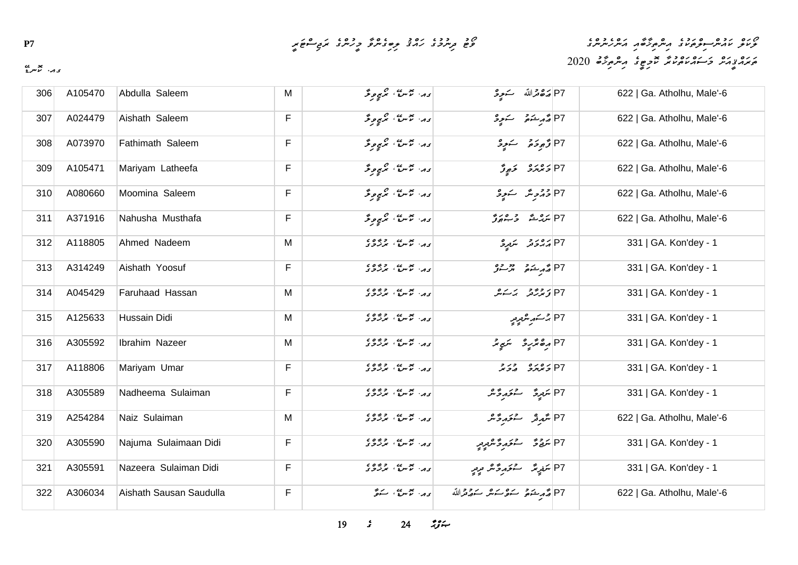*sCw7q7s5w7m< o<n9nOoAw7o< sCq;mAwBoEw7q<m; wBm;vB* م من المسجد المسجد المسجد المسجد المسجد العام 2020<br>مسجد المسجد المسجد المسجد المسجد المسجد المسجد المسجد المسجد ال

| 306 | A105470 | Abdulla Saleem          | M           | ى مەستى، ئۈي بوقە                                                                                                                                                                                                                                                                                                   | P7 ≈ی همرالله کوی                                | 622   Ga. Atholhu, Male'-6 |
|-----|---------|-------------------------|-------------|---------------------------------------------------------------------------------------------------------------------------------------------------------------------------------------------------------------------------------------------------------------------------------------------------------------------|--------------------------------------------------|----------------------------|
| 307 | A024479 | Aishath Saleem          | $\mathsf F$ | ا دە. ئ <sup>ې</sup> رى، ئىي <i>مۇ</i>                                                                                                                                                                                                                                                                              | P7 مُەمشەم سەرو                                  | 622   Ga. Atholhu, Male'-6 |
| 308 | A073970 | Fathimath Saleem        | F           | ا دە. ئ <sup>ې</sup> ستا <sup>،</sup> ئرىپ <sub>ى</sub> رىگە                                                                                                                                                                                                                                                        | P7 <i>وَّجِوَدَة</i> سَوِدْ                      | 622   Ga. Atholhu, Male'-6 |
| 309 | A105471 | Mariyam Latheefa        | $\mathsf F$ | ى مەستىرى، ئىي ھەقىر                                                                                                                                                                                                                                                                                                | P7 <i>وَ بُرْمَرْ وَ جَهِ وَّ</i>                | 622   Ga. Atholhu, Male'-6 |
| 310 | A080660 | Moomina Saleem          | F           | ى ئەستىپ، مېمبومۇ                                                                                                                                                                                                                                                                                                   | P7 دېږمبر شود                                    | 622   Ga. Atholhu, Male'-6 |
| 311 | A371916 | Nahusha Musthafa        | $\mathsf F$ | ىد. ئەستى، ئىي ھەقى                                                                                                                                                                                                                                                                                                 | P7 يَدَيْ شَمَعَ وَسِبْهِوَ                      | 622   Ga. Atholhu, Male'-6 |
| 312 | A118805 | Ahmed Nadeem            | M           | ى دىكى ئەرەپىيە ئەرەپىيە                                                                                                                                                                                                                                                                                            | P7   كەش <sup>ى</sup> كىرى سىر ئىرىگە            | 331   GA. Kon'dey - 1      |
| 313 | A314249 | Aishath Yoosuf          | F           | ى دىستى، ئەرەبى                                                                                                                                                                                                                                                                                                     | P7 مەم شەم ھەرمىتو                               | 331   GA. Kon'dey - 1      |
| 314 | A045429 | Faruhaad Hassan         | M           | $\frac{1}{2}$ $\frac{1}{2}$ $\frac{1}{2}$ $\frac{1}{2}$ $\frac{1}{2}$ $\frac{1}{2}$ $\frac{1}{2}$ $\frac{1}{2}$ $\frac{1}{2}$ $\frac{1}{2}$ $\frac{1}{2}$ $\frac{1}{2}$ $\frac{1}{2}$ $\frac{1}{2}$ $\frac{1}{2}$ $\frac{1}{2}$ $\frac{1}{2}$ $\frac{1}{2}$ $\frac{1}{2}$ $\frac{1}{2}$ $\frac{1}{2}$ $\frac{1}{2}$ | P7 كۆتىر <i>ىگە بەستەنل</i>                      | 331   GA. Kon'dey - 1      |
| 315 | A125633 | Hussain Didi            | M           | ی در سمیت و ده ه ه                                                                                                                                                                                                                                                                                                  | P7 پر کمبر بن موسی <sub>ر</sub> پر               | 331   GA. Kon'dey - 1      |
| 316 | A305592 | Ibrahim Nazeer          | M           | ى دىكى ئەرەپىيە ئەرەپىيە                                                                                                                                                                                                                                                                                            | P7 م <i>ەھترى</i> ئىرىمى                         | 331   GA. Kon'dey - 1      |
| 317 | A118806 | Mariyam Umar            | F           | ى دىستە ئەرەپى                                                                                                                                                                                                                                                                                                      | P7 <i>ב</i> ינות 25 ביב                          | 331   GA. Kon'dey - 1      |
| 318 | A305589 | Nadheema Sulaiman       | F           | ى دىكى ئەرەپىيە ئەرەپىيە                                                                                                                                                                                                                                                                                            | P7 <i>سَعِرِدَّ سُخَمَردَّ</i> سُ <i>ُّرَ</i>    | 331   GA. Kon'dey - 1      |
| 319 | A254284 | Naiz Sulaiman           | M           | $\begin{bmatrix} 0 & 0 & 0 & 0 \\ 0 & 0 & 0 & 0 \\ 0 & 0 & 0 & 0 \end{bmatrix}$                                                                                                                                                                                                                                     | P7 سَمَدِنْر سُنْجَمَدِدَّسْ                     | 622   Ga. Atholhu, Male'-6 |
| 320 | A305590 | Najuma Sulaimaan Didi   | F           | ى دىستى، جەمئە                                                                                                                                                                                                                                                                                                      | P7 ىترقى ئىس ئىمر ئىم ئىر بىر بىر بىر بىر بىر ئى | 331   GA. Kon'dey - 1      |
| 321 | A305591 | Nazeera Sulaiman Didi   | $\mathsf F$ | ى مەسى» بەرە بەر                                                                                                                                                                                                                                                                                                    | P7 <i>سَن</i> رِبَرُ کے <i>قرر ڈ</i> یٹر مرمر    | 331   GA. Kon'dey - 1      |
| 322 | A306034 | Aishath Sausan Saudulla | F           | دوستوستان سکھ                                                                                                                                                                                                                                                                                                       | P7 مەم شىم ئىس ئىق ئىق ئىلان                     | 622   Ga. Atholhu, Male'-6 |

*19 s* 24 *i*<sub>s</sub> $\approx$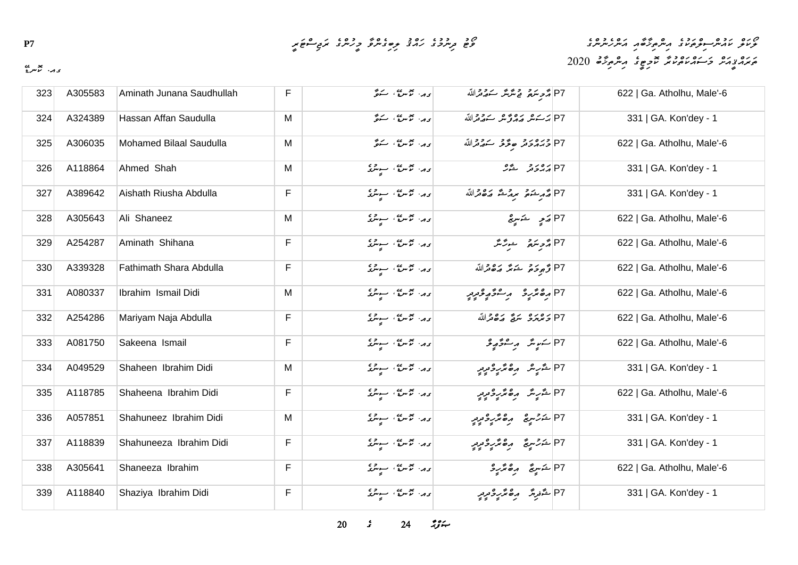*sCw7q7s5w7m< o<n9nOoAw7o< sCq;mAwBoEw7q<m; wBm;vB* م من المسجد المسجد المسجد المسجد المسجد العام 2020<br>مسجد المسجد المسجد المسجد المسجد المسجد المسجد المسجد المسجد ال

| 323 | A305583 | Aminath Junana Saudhullah      | $\mathsf F$  | ى ئەستىپ، سىۋ           | P7 مُرْحِ مَرَى مَحْرَ مُرْمَّدٌ سَوَمِرْدَللَّهُ           | 622   Ga. Atholhu, Male'-6 |
|-----|---------|--------------------------------|--------------|-------------------------|-------------------------------------------------------------|----------------------------|
| 324 | A324389 | Hassan Affan Saudulla          | M            | ى ئەستىسى ئەسكە         | P7 يَرْسَعْكَ صَهْرَوْ مَكْرَ سَهْرَ قَدْ اللَّه            | 331   GA. Kon'dey - 1      |
| 325 | A306035 | <b>Mohamed Bilaal Saudulla</b> | M            | ى ئەستىپ، سۇق           | P7 دېرو د ھوگو شهره لله                                     | 622   Ga. Atholhu, Male'-6 |
| 326 | A118864 | Ahmed Shah                     | M            | ى مەسىم ئەسىر ئىس ئىس   | P7 كەنزى ھەر ھەر                                            | 331   GA. Kon'dey - 1      |
| 327 | A389642 | Aishath Riusha Abdulla         | F            | ى ئەستۇ، سولىرى         | P7 مَّ مِ شَوَّ مِرْمَ شَّهَ مَرْهُ قَدْاللَّهُ             | 331   GA. Kon'dey - 1      |
| 328 | A305643 | Ali Shaneez                    | M            | ى ئەستۇ، سولىرى         | P7 <i>۾َ جِ</i> شَمَسِيَّ                                   | 622   Ga. Atholhu, Male'-6 |
| 329 | A254287 | Aminath Shihana                | F            | ى ئەستۇ، سومىرى         | P7 مُّحِسَمُ مُشَرِّسٌ                                      | 622   Ga. Atholhu, Male'-6 |
| 330 | A339328 | Fathimath Shara Abdulla        | $\mathsf{F}$ | ى ئەستىمى سولىرى        | P7 وَجِرَدَةٍ شَمَّدَ رَصْحَرْاللَّهِ                       | 622   Ga. Atholhu, Male'-6 |
| 331 | A080337 | Ibrahim Ismail Didi            | M            | ای در می موسیقی اسپوسری | P7 مەھمەر ھەرسىم مەھمەر بولىرىد                             | 622   Ga. Atholhu, Male'-6 |
| 332 | A254286 | Mariyam Naja Abdulla           | F            | ى ئەستۇ، سولىرى         | P7 5 <i>بحرمر 5 مربع مركا وقر</i> الله                      | 622   Ga. Atholhu, Male'-6 |
| 333 | A081750 | Sakeena Ismail                 | F            | ى ئەستۇ، سولىرى         | P7 سَمٰرٍ مَثَرَّ مِرْ سُوَّمِهِ مِحْرِ                     | 622   Ga. Atholhu, Male'-6 |
| 334 | A049529 | Shaheen Ibrahim Didi           | M            | ى ئەستۇ، سولىرى         | P7 شەپ مەھەر ئەھمەر ئەربىر                                  | 331   GA. Kon'dey - 1      |
| 335 | A118785 | Shaheena Ibrahim Didi          | $\mathsf F$  | ى ئەستۇ، سولىرى         | P7 شَرِينَر ب <sub>ُر</sub> ە ب <sub>َر</sub> ُ دِيرِد بِرِ | 622   Ga. Atholhu, Male'-6 |
| 336 | A057851 | Shahuneez Ibrahim Didi         | M            | ى ئەستۇ، سومىرى         | P7 ڪرسيء <i>ُ م</i> ڻ <i>مُرب</i> ومبرمبر                   | 331   GA. Kon'dey - 1      |
| 337 | A118839 | Shahuneeza Ibrahim Didi        | $\mathsf F$  | ای در می موسیقی اسپوسری | P7 ڪرسيءَ <sub>م</sub> ِه <i>مُرب</i> ومِرِمِرِ             | 331   GA. Kon'dey - 1      |
| 338 | A305641 | Shaneeza Ibrahim               | F            | ا دە. ئۇسۇ، سومىرى      | P7 شَسِيعٌ مِنْ صَحَّرِ وَ                                  | 622   Ga. Atholhu, Male'-6 |
| 339 | A118840 | Shaziya Ibrahim Didi           | F            | ى ئەستى» سومىرى         | P7 شۇرى <i>گە مۇھەتگەر قى</i> رىر                           | 331   GA. Kon'dey - 1      |

 $20$  *s*  $24$  *n***<sub>s</sub>** $\frac{2}{5}$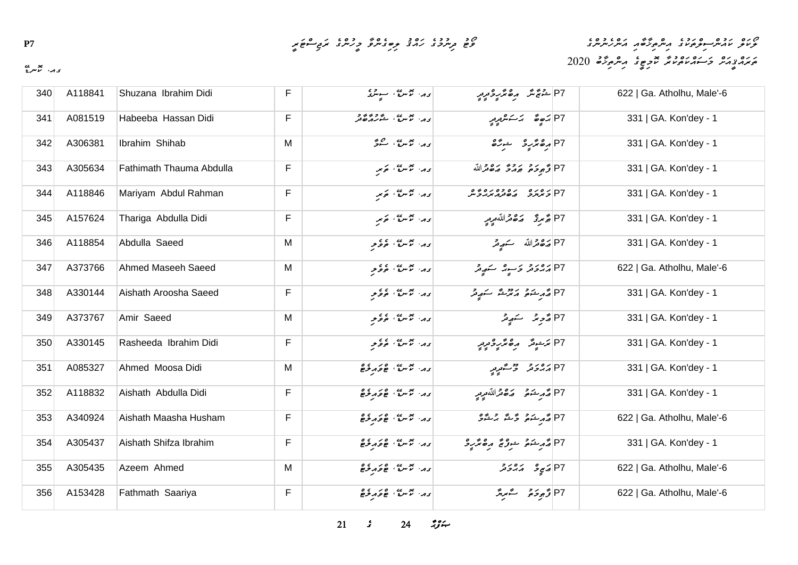*sCw7q7s5w7m< o<n9nOoAw7o< sCq;mAwBoEw7q<m; wBm;vB* م من المرة المرة المرة المرجع المرجع في المركبة 2020<br>مجم*د المريض المربوط المربع المرجع في المراجع المركبة* 

| 340 | A118841 | Shuzana Ibrahim Didi      | F           | ا دە. ئۇسۇ، سوسرى | P7 شۇڭ مەھەر <i>كە</i> ر ئويور               | 622   Ga. Atholhu, Male'-6 |
|-----|---------|---------------------------|-------------|-------------------|----------------------------------------------|----------------------------|
| 341 | A081519 | Habeeba Hassan Didi       | $\mathsf F$ | ى دىسى ئەرەپەر    | P7 كەھ قەرىكىش بولىر                         | 331   GA. Kon'dey - 1      |
| 342 | A306381 | Ibrahim Shihab            | M           | ى ئەستەت، شۇ      | P7 م <i>ەھترى</i> شىر <i>گە</i>              | 331   GA. Kon'dey - 1      |
| 343 | A305634 | Fathimath Thauma Abdulla  | $\mathsf F$ | ى مەستى، ئىر      | P7 وَجِرِحْمَ جِهْدَةَ صَرْحَةَ اللَّهُ      | 331   GA. Kon'dey - 1      |
| 344 | A118846 | Mariyam Abdul Rahman      | F           | ى مەستى، ئوم      | P7 - <i>د ه ده و د و د و د ه</i>             | 331   GA. Kon'dey - 1      |
| 345 | A157624 | Thariga Abdulla Didi      | $\mathsf F$ | ى مەستىمى كەس     | P7 جُرِيرَةٌ حَدَّة اللَّهْ مِرِمْرِ         | 331   GA. Kon'dey - 1      |
| 346 | A118854 | Abdulla Saeed             | M           | كەر، ئەسق، ئۇھۇم  | P7 مَەھمَّدَاللَّهُ سَمَّصُومَّدُ            | 331   GA. Kon'dey - 1      |
| 347 | A373766 | <b>Ahmed Maseeh Saeed</b> | M           | ى دە ئەستى، ئى ئ  | P7 <i>גُرُوکر وَسِرِرُ</i> سَ <i>ورٍدُ</i>   | 622   Ga. Atholhu, Male'-6 |
| 348 | A330144 | Aishath Aroosha Saeed     | $\mathsf F$ | ى ئەستۇ، ئ        | P7 مەم شەم مەنزىشە سەم بىر                   | 331   GA. Kon'dey - 1      |
| 349 | A373767 | Amir Saeed                | M           | ى مەستى، ئەھم     | P7 م <i>مَّ</i> حِ مِمَّذٍ سَمَ <i>وِيدٌ</i> | 331   GA. Kon'dey - 1      |
| 350 | A330145 | Rasheeda Ibrahim Didi     | $\mathsf F$ | ى بەستى، ئ        | P7 بَرَجونَز ب <i>رە بَرَّر دېږد</i> ِ       | 331   GA. Kon'dey - 1      |
| 351 | A085327 | Ahmed Moosa Didi          | M           |                   | P7 كەبرو ھ <sup>ى</sup> شەرىر                | 331   GA. Kon'dey - 1      |
| 352 | A118832 | Aishath Abdulla Didi      | $\mathsf F$ |                   | P7 صَّمِ شَمَعَ صَصْحَرِ اللَّهِ مِرِمَرٍ    | 331   GA. Kon'dey - 1      |
| 353 | A340924 | Aishath Maasha Husham     | F           |                   | P7 مۇم شەھ گەشگە برىشى P7                    | 622   Ga. Atholhu, Male'-6 |
| 354 | A305437 | Aishath Shifza Ibrahim    | F           |                   | P7 مەم ئىقتىم ھەر ئەھ ئەرىجى بىر             | 331   GA. Kon'dey - 1      |
| 355 | A305435 | Azeem Ahmed               | M           |                   | P7 كەنبى ھەر ئەردىتىلىكى بىرىدىتىلىكى ئا     | 622   Ga. Atholhu, Male'-6 |
| 356 | A153428 | Fathmath Saariya          | F           |                   | P7 <i>وَّجوحَمْ ـــَّمَبِيرَ</i>             | 622   Ga. Atholhu, Male'-6 |

 $21$  *s*  $24$  *n***<sub>s</sub>**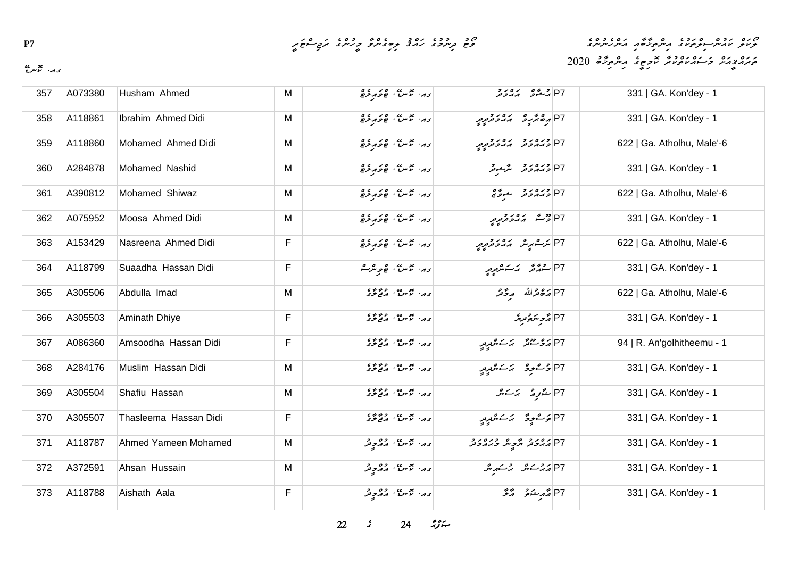*sCw7q7s5w7m< o<n9nOoAw7o< sCq;mAwBoEw7q<m; wBm;vB* م من المرة المرة المرة المرجع المرجع في المركبة 2020<br>مجم*د المريض المربوط المربع المرجع في المراجع المركبة* 

| 357 | A073380 | Husham Ahmed          | M            | $\begin{bmatrix} 0 & 0 & 0 & 0 & 0 \\ 0 & 0 & 0 & 0 & 0 \\ 0 & 0 & 0 & 0 & 0 \\ 0 & 0 & 0 & 0 & 0 \\ 0 & 0 & 0 & 0 & 0 \\ 0 & 0 & 0 & 0 & 0 \\ 0 & 0 & 0 & 0 & 0 \\ 0 & 0 & 0 & 0 & 0 \\ 0 & 0 & 0 & 0 & 0 \\ 0 & 0 & 0 & 0 & 0 \\ 0 & 0 & 0 & 0 & 0 \\ 0 & 0 & 0 & 0 & 0 \\ 0 & 0 & 0 & 0 & 0 \\ 0 & 0 & 0 & 0 & 0 \\ 0 & $ | P7 يُسْتَوْ بَرْدُونَر                                             | 331   GA. Kon'dey - 1      |
|-----|---------|-----------------------|--------------|------------------------------------------------------------------------------------------------------------------------------------------------------------------------------------------------------------------------------------------------------------------------------------------------------------------------------|--------------------------------------------------------------------|----------------------------|
| 358 | A118861 | Ibrahim Ahmed Didi    | M            |                                                                                                                                                                                                                                                                                                                              | P7 مەھەر بەر مەركە ئەرەپەير                                        | 331   GA. Kon'dey - 1      |
| 359 | A118860 | Mohamed Ahmed Didi    | M            | 20, 20, 30, 50, 50                                                                                                                                                                                                                                                                                                           | P7 درورو دروروبربر                                                 | 622   Ga. Atholhu, Male'-6 |
| 360 | A284878 | Mohamed Nashid        | M            | 20, 20, 30, 50, 50                                                                                                                                                                                                                                                                                                           | P7 <i>وُبُرُودُو مُرْجِعِدُ</i>                                    | 331   GA. Kon'dey - 1      |
| 361 | A390812 | Mohamed Shiwaz        | M            |                                                                                                                                                                                                                                                                                                                              | P7 <i>وُبَهُ وَبَرْ</i> مُسْتَوَمِّعَ                              | 622   Ga. Atholhu, Male'-6 |
| 362 | A075952 | Moosa Ahmed Didi      | M            |                                                                                                                                                                                                                                                                                                                              | P7 تخرىش كەبەر <i>قرىرى</i> ر                                      | 331   GA. Kon'dey - 1      |
| 363 | A153429 | Nasreena Ahmed Didi   | F            | 20, 20, 30, 50, 50                                                                                                                                                                                                                                                                                                           | P7 ىترىشمېرى <i>تى بەيگە قىرىپرىي</i>                              | 622   Ga. Atholhu, Male'-6 |
| 364 | A118799 | Suaadha Hassan Didi   | $\mathsf F$  | ى ئەستى، ھەمەر                                                                                                                                                                                                                                                                                                               | P7 سەئەتر كەسەھبوبو                                                | 331   GA. Kon'dey - 1      |
| 365 | A305506 | Abdulla Imad          | M            | ى دىستىسى ئەھمىدىنى ئە                                                                                                                                                                                                                                                                                                       | P7 مَصْعَرِ اللّه مِتَّةِ مِ                                       | 622   Ga. Atholhu, Male'-6 |
| 366 | A305503 | Aminath Dhiye         | F            | بر به سری دود و د<br>بر سرس مقرق                                                                                                                                                                                                                                                                                             | P7 مُّ <i>جِ سَهُ قَدِيرٌ</i>                                      | 331   GA. Kon'dey - 1      |
| 367 | A086360 | Amsoodha Hassan Didi  | $\mathsf F$  | ى دىستە ئەرەپىدى<br>ئەرەبەت ئىستى ئىستىمى ئىستىدى                                                                                                                                                                                                                                                                            | P7  كەبى ئەسىر كەشكىرىنى<br> -                                     | 94   R. An'golhitheemu - 1 |
| 368 | A284176 | Muslim Hassan Didi    | M            | ى دىستى، دىنى دى                                                                                                                                                                                                                                                                                                             | P7  وْسْعُودْ   دَسْعَمْتِيْتِيْتِيْتِيْتْسْتَقْتَيْتِيْتِيْتِيْتْ | 331   GA. Kon'dey - 1      |
| 369 | A305504 | Shafiu Hassan         | M            | ى دىكى سەن ئەلگەنى ئە                                                                                                                                                                                                                                                                                                        | P7 ڪُ <i>ورٽ پرڪيل</i>                                             | 331   GA. Kon'dey - 1      |
| 370 | A305507 | Thasleema Hassan Didi | $\mathsf{F}$ | بر به سره دوره د<br>بر سرس مقرق                                                                                                                                                                                                                                                                                              | P7   <i>م كوچۇ   باكسكوپوپ</i> ر                                   | 331   GA. Kon'dey - 1      |
| 371 | A118787 | Ahmed Yameen Mohamed  | M            | در سی می ده د                                                                                                                                                                                                                                                                                                                | P7 ג'פיב ב פי 1975 ביני ה                                          | 331   GA. Kon'dey - 1      |
| 372 | A372591 | Ahsan Hussain         | M            | در سی می ده د                                                                                                                                                                                                                                                                                                                | P7 كەنەسكىر ئەسكىرىك                                               | 331   GA. Kon'dey - 1      |
| 373 | A118788 | Aishath Aala          | F            | ى مەستاق بەر جەر                                                                                                                                                                                                                                                                                                             | P7 مەم شەقر مەنىۋ                                                  | 331   GA. Kon'dey - 1      |

 $22$  *s*  $24$  *n***<sub>3</sub>** *z***<sub>3</sub>** *z***<sub>3</sub>**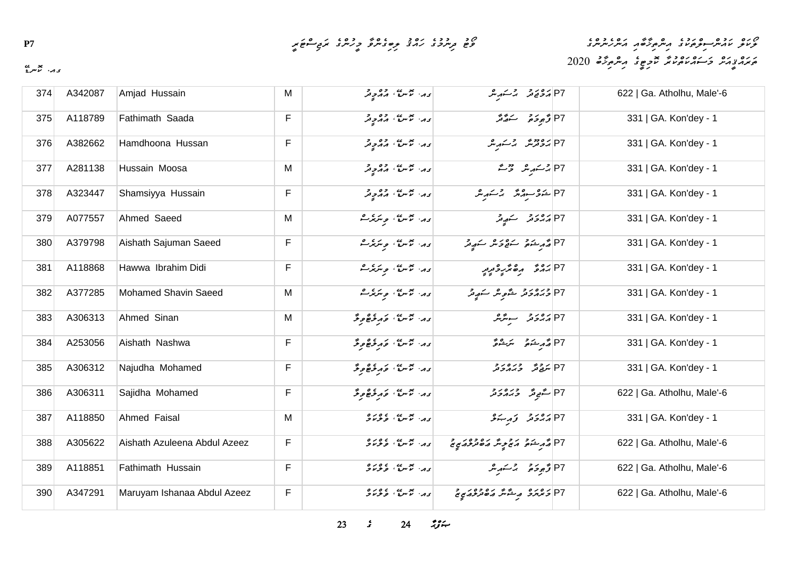*sCw7q7s5w7m< o<n9nOoAw7o< sCq;mAwBoEw7q<m; wBm;vB* م من المرة المرة المرة المرجع المرجع في المركبة 2020<br>مجم*د المريض المربوط المربع المرجع في المراجع المركبة* 

| 374 | A342087 | Amjad Hussain                | M            | در سی می ده د          | P7 <i>مُحوق مِنْ مُسَمَّدٍ مُنْ</i>     | 622   Ga. Atholhu, Male'-6 |
|-----|---------|------------------------------|--------------|------------------------|-----------------------------------------|----------------------------|
| 375 | A118789 | Fathimath Saada              | $\mathsf F$  | در سی می ده د          | P7 <i>وَّجِوحَةْ</i> سَ <i>وَرَةْدُ</i> | 331   GA. Kon'dey - 1      |
| 376 | A382662 | Hamdhoona Hussan             | $\mathsf F$  | در سی می ده د          | P7 ئۇقرىگە مىسكىرىگە                    | 331   GA. Kon'dey - 1      |
| 377 | A281138 | Hussain Moosa                | M            | در سی می ده د          | P7 پر شہر شرح میں تھا۔<br>اس            | 331   GA. Kon'dey - 1      |
| 378 | A323447 | Shamsiyya Hussain            | $\mathsf{F}$ | <i>צ</i> ון שישי וווקט | P7 شۇرسو <i>مەڭ جىسكو</i> بىر           | 331   GA. Kon'dey - 1      |
| 379 | A077557 | Ahmed Saeed                  | M            | ى ئەستى، جەمئەر        | P7   پر بری تر سکھیے تھا<br>  P7        | 331   GA. Kon'dey - 1      |
| 380 | A379798 | Aishath Sajuman Saeed        | F            | ى مەستان، مەسكەن ھ     | P7 مەم خىم سىھ <i>كەش سىم يى</i> ر      | 331   GA. Kon'dey - 1      |
| 381 | A118868 | Hawwa Ibrahim Didi           | $\mathsf F$  | ىد. ئەستى، جەمئەتمەت   | P7 <i>بَ</i> ەھ مەھەر دىرىر             | 331   GA. Kon'dey - 1      |
| 382 | A377285 | <b>Mohamed Shavin Saeed</b>  | M            | ى مەستان، ئەسكەت       | P7  <i>وبروبرو شومی کوپ</i> تر          | 331   GA. Kon'dey - 1      |
| 383 | A306313 | Ahmed Sinan                  | M            | دە. ئەسىئ، ئەم ۋە بۇ   | P7 كەبردىق سەمگەنگە                     | 331   GA. Kon'dey - 1      |
| 384 | A253056 | Aishath Nashwa               | $\mathsf F$  | دە· ئاسْ ئەرمۇھ بۇ     | P7 مُ مِ شَمَعٌ مَ سَرَسْوَةٌ           | 331   GA. Kon'dey - 1      |
| 385 | A306312 | Najudha Mohamed              | $\mathsf F$  | ى مەستى، ئەم ۋە بۇ     | P7 سَھة مَدَ وَبَرَ وَمَدَ وَمَدَ       | 331   GA. Kon'dey - 1      |
| 386 | A306311 | Sajidha Mohamed              | $\mathsf F$  | ى سىمىت قەدىھ بۇ       | P7 گويۇ ئەرەر ئەرىجىلىرى بىر 19 كىل     | 622   Ga. Atholhu, Male'-6 |
| 387 | A118850 | Ahmed Faisal                 | M            | ى دىستە ئەمەدە         | P7  كەيرى قىم بىكى ئىقى                 | 331   GA. Kon'dey - 1      |
| 388 | A305622 | Aishath Azuleena Abdul Azeez | $\mathsf F$  |                        | P7 בֿאגַײַבֿ 2 ב' 2020 ב                | 622   Ga. Atholhu, Male'-6 |
| 389 | A118851 | Fathimath Hussain            | F            | ى مەسى ئەمدە           | P7 <i>وُجِيحَةْ بِرْسَهِبْ</i> رِ       | 622   Ga. Atholhu, Male'-6 |
| 390 | A347291 | Maruyam Ishanaa Abdul Azeez  | F            | $3135$ $213$           | P7 ئەمەرە بەيشەش مەمەدەر بەر            | 622   Ga. Atholhu, Male'-6 |

*23 sC 24 nNw?mS*